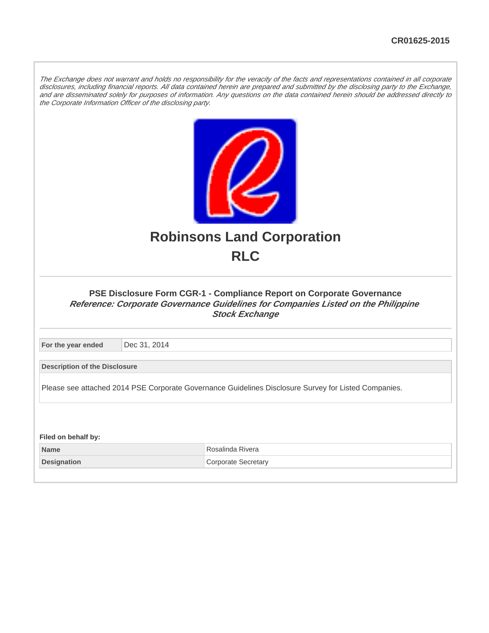The Exchange does not warrant and holds no responsibility for the veracity of the facts and representations contained in all corporate disclosures, including financial reports. All data contained herein are prepared and submitted by the disclosing party to the Exchange, and are disseminated solely for purposes of information. Any questions on the data contained herein should be addressed directly to the Corporate Information Officer of the disclosing party.



## **Robinsons Land Corporation RLC**

#### **PSE Disclosure Form CGR-1 - Compliance Report on Corporate Governance Reference: Corporate Governance Guidelines for Companies Listed on the Philippine Stock Exchange**

**For the year ended** Dec 31, 2014

**Description of the Disclosure**

Please see attached 2014 PSE Corporate Governance Guidelines Disclosure Survey for Listed Companies.

**Filed on behalf by: Name** Rosalinda Rivera **Designation** Corporate Secretary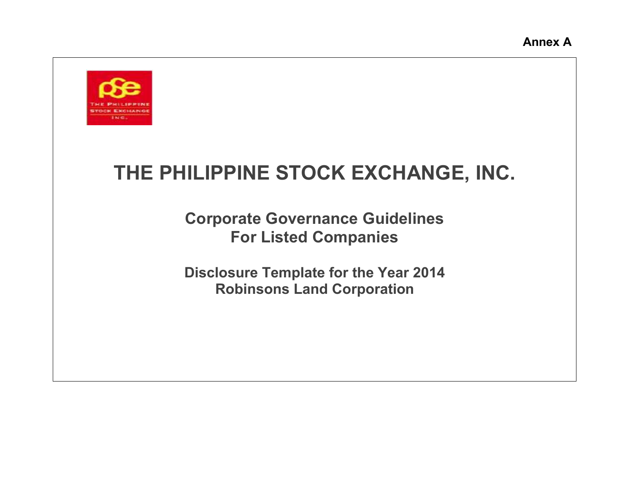

# **THE PHILIPPINE STOCK EXCHANGE, INC.**

**Corporate Governance Guidelines For Listed Companies**

**Disclosure Template for the Year 2014 Robinsons Land Corporation**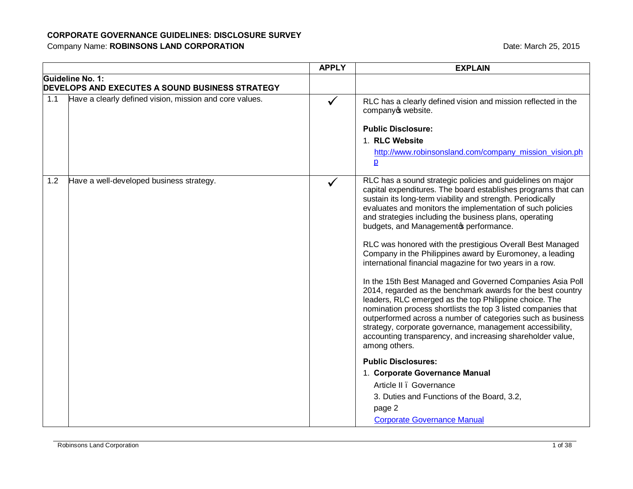|     |                                                                            | <b>APPLY</b> | <b>EXPLAIN</b>                                                                                                                                                                                                                                                                                                                                                                                                                                                                                                                                                                                                                                                                                                                                                                                          |
|-----|----------------------------------------------------------------------------|--------------|---------------------------------------------------------------------------------------------------------------------------------------------------------------------------------------------------------------------------------------------------------------------------------------------------------------------------------------------------------------------------------------------------------------------------------------------------------------------------------------------------------------------------------------------------------------------------------------------------------------------------------------------------------------------------------------------------------------------------------------------------------------------------------------------------------|
|     | Guideline No. 1:<br><b>DEVELOPS AND EXECUTES A SOUND BUSINESS STRATEGY</b> |              |                                                                                                                                                                                                                                                                                                                                                                                                                                                                                                                                                                                                                                                                                                                                                                                                         |
| 1.1 | Have a clearly defined vision, mission and core values.                    | $\checkmark$ | RLC has a clearly defined vision and mission reflected in the<br>company o website.                                                                                                                                                                                                                                                                                                                                                                                                                                                                                                                                                                                                                                                                                                                     |
|     |                                                                            |              | <b>Public Disclosure:</b>                                                                                                                                                                                                                                                                                                                                                                                                                                                                                                                                                                                                                                                                                                                                                                               |
|     |                                                                            |              | 1. RLC Website                                                                                                                                                                                                                                                                                                                                                                                                                                                                                                                                                                                                                                                                                                                                                                                          |
|     |                                                                            |              | http://www.robinsonsland.com/company_mission_vision.ph<br>$\overline{p}$                                                                                                                                                                                                                                                                                                                                                                                                                                                                                                                                                                                                                                                                                                                                |
| 1.2 | Have a well-developed business strategy.                                   |              | RLC has a sound strategic policies and guidelines on major<br>capital expenditures. The board establishes programs that can<br>sustain its long-term viability and strength. Periodically<br>evaluates and monitors the implementation of such policies<br>and strategies including the business plans, operating<br>budgets, and Managementos performance.<br>RLC was honored with the prestigious Overall Best Managed<br>Company in the Philippines award by Euromoney, a leading<br>international financial magazine for two years in a row.<br>In the 15th Best Managed and Governed Companies Asia Poll<br>2014, regarded as the benchmark awards for the best country<br>leaders, RLC emerged as the top Philippine choice. The<br>nomination process shortlists the top 3 listed companies that |
|     |                                                                            |              | outperformed across a number of categories such as business<br>strategy, corporate governance, management accessibility,<br>accounting transparency, and increasing shareholder value,<br>among others.                                                                                                                                                                                                                                                                                                                                                                                                                                                                                                                                                                                                 |
|     |                                                                            |              | <b>Public Disclosures:</b>                                                                                                                                                                                                                                                                                                                                                                                                                                                                                                                                                                                                                                                                                                                                                                              |
|     |                                                                            |              | 1. Corporate Governance Manual                                                                                                                                                                                                                                                                                                                                                                                                                                                                                                                                                                                                                                                                                                                                                                          |
|     |                                                                            |              | Article II . Governance                                                                                                                                                                                                                                                                                                                                                                                                                                                                                                                                                                                                                                                                                                                                                                                 |
|     |                                                                            |              | 3. Duties and Functions of the Board, 3.2,                                                                                                                                                                                                                                                                                                                                                                                                                                                                                                                                                                                                                                                                                                                                                              |
|     |                                                                            |              | page 2                                                                                                                                                                                                                                                                                                                                                                                                                                                                                                                                                                                                                                                                                                                                                                                                  |
|     |                                                                            |              | <b>Corporate Governance Manual</b>                                                                                                                                                                                                                                                                                                                                                                                                                                                                                                                                                                                                                                                                                                                                                                      |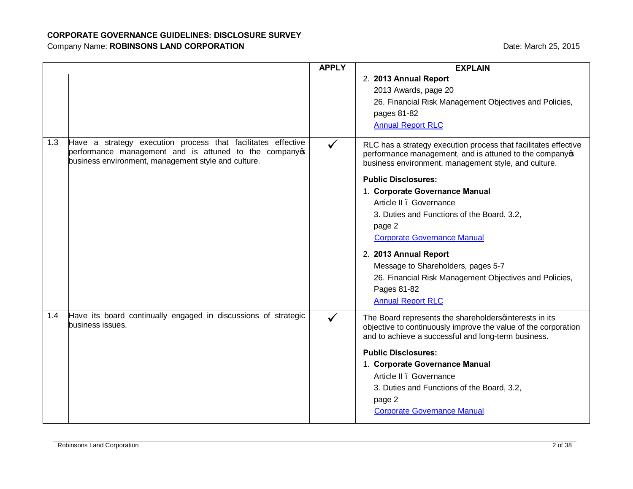|     |                                                                                                                                                                             | <b>APPLY</b> | <b>EXPLAIN</b>                                                                                                                                                                                                                                                                                                                                                                                                                                                                                                      |
|-----|-----------------------------------------------------------------------------------------------------------------------------------------------------------------------------|--------------|---------------------------------------------------------------------------------------------------------------------------------------------------------------------------------------------------------------------------------------------------------------------------------------------------------------------------------------------------------------------------------------------------------------------------------------------------------------------------------------------------------------------|
|     |                                                                                                                                                                             |              | 2. 2013 Annual Report<br>2013 Awards, page 20<br>26. Financial Risk Management Objectives and Policies,<br>pages 81-82<br><b>Annual Report RLC</b>                                                                                                                                                                                                                                                                                                                                                                  |
| 1.3 | Have a strategy execution process that facilitates effective<br>performance management and is attuned to the company<br>business environment, management style and culture. |              | RLC has a strategy execution process that facilitates effective<br>performance management, and is attuned to the companyop<br>business environment, management style, and culture.<br><b>Public Disclosures:</b><br>1. Corporate Governance Manual<br>Article II . Governance<br>3. Duties and Functions of the Board, 3.2,<br>page 2<br><b>Corporate Governance Manual</b><br>2. 2013 Annual Report<br>Message to Shareholders, pages 5-7<br>26. Financial Risk Management Objectives and Policies,<br>Pages 81-82 |
| 1.4 | Have its board continually engaged in discussions of strategic<br>business issues.                                                                                          |              | <b>Annual Report RLC</b><br>The Board represents the shareholdersqinterests in its<br>objective to continuously improve the value of the corporation<br>and to achieve a successful and long-term business.                                                                                                                                                                                                                                                                                                         |
|     |                                                                                                                                                                             |              | <b>Public Disclosures:</b><br>1. Corporate Governance Manual<br>Article II . Governance<br>3. Duties and Functions of the Board, 3.2,<br>page 2<br><b>Corporate Governance Manual</b>                                                                                                                                                                                                                                                                                                                               |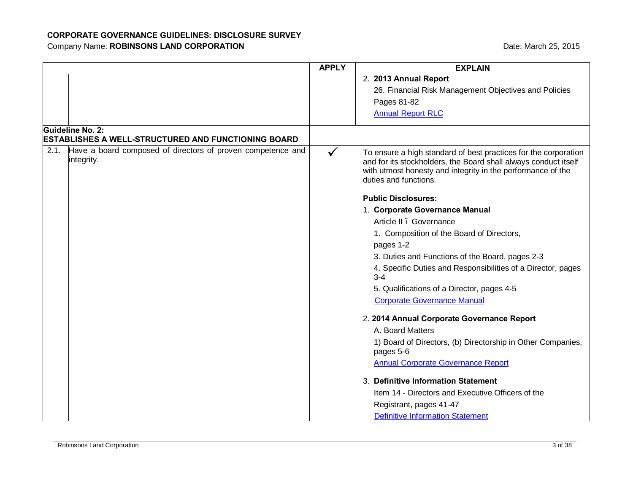|      |                                                                                       | <b>APPLY</b> | <b>EXPLAIN</b>                                                                                                                                                                                                             |
|------|---------------------------------------------------------------------------------------|--------------|----------------------------------------------------------------------------------------------------------------------------------------------------------------------------------------------------------------------------|
|      |                                                                                       |              | 2. 2013 Annual Report                                                                                                                                                                                                      |
|      |                                                                                       |              | 26. Financial Risk Management Objectives and Policies                                                                                                                                                                      |
|      |                                                                                       |              | Pages 81-82                                                                                                                                                                                                                |
|      |                                                                                       |              | <b>Annual Report RLC</b>                                                                                                                                                                                                   |
|      | <b>Guideline No. 2:</b><br><b>ESTABLISHES A WELL-STRUCTURED AND FUNCTIONING BOARD</b> |              |                                                                                                                                                                                                                            |
| 2.1. | Have a board composed of directors of proven competence and<br>integrity.             | $\checkmark$ | To ensure a high standard of best practices for the corporation<br>and for its stockholders, the Board shall always conduct itself<br>with utmost honesty and integrity in the performance of the<br>duties and functions. |
|      |                                                                                       |              | <b>Public Disclosures:</b>                                                                                                                                                                                                 |
|      |                                                                                       |              | 1. Corporate Governance Manual                                                                                                                                                                                             |
|      |                                                                                       |              | Article II . Governance                                                                                                                                                                                                    |
|      |                                                                                       |              | 1. Composition of the Board of Directors,                                                                                                                                                                                  |
|      |                                                                                       |              | pages 1-2                                                                                                                                                                                                                  |
|      |                                                                                       |              | 3. Duties and Functions of the Board, pages 2-3                                                                                                                                                                            |
|      |                                                                                       |              | 4. Specific Duties and Responsibilities of a Director, pages<br>$3-4$                                                                                                                                                      |
|      |                                                                                       |              | 5. Qualifications of a Director, pages 4-5                                                                                                                                                                                 |
|      |                                                                                       |              | <b>Corporate Governance Manual</b>                                                                                                                                                                                         |
|      |                                                                                       |              | 2. 2014 Annual Corporate Governance Report                                                                                                                                                                                 |
|      |                                                                                       |              | A. Board Matters                                                                                                                                                                                                           |
|      |                                                                                       |              | 1) Board of Directors, (b) Directorship in Other Companies,<br>pages 5-6                                                                                                                                                   |
|      |                                                                                       |              | <b>Annual Corporate Governance Report</b>                                                                                                                                                                                  |
|      |                                                                                       |              | 3. Definitive Information Statement                                                                                                                                                                                        |
|      |                                                                                       |              | Item 14 - Directors and Executive Officers of the                                                                                                                                                                          |
|      |                                                                                       |              | Registrant, pages 41-47                                                                                                                                                                                                    |
|      |                                                                                       |              | <b>Definitive Information Statement</b>                                                                                                                                                                                    |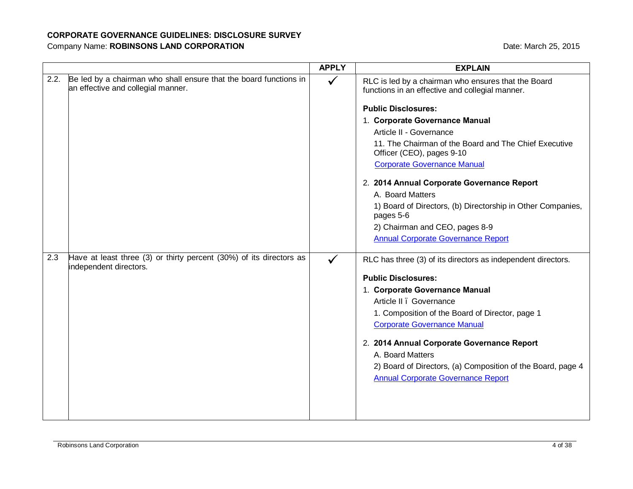|      |                                                                                                         | <b>APPLY</b> | <b>EXPLAIN</b>                                                                                         |
|------|---------------------------------------------------------------------------------------------------------|--------------|--------------------------------------------------------------------------------------------------------|
| 2.2. | Be led by a chairman who shall ensure that the board functions in<br>an effective and collegial manner. | $\checkmark$ | RLC is led by a chairman who ensures that the Board<br>functions in an effective and collegial manner. |
|      |                                                                                                         |              | <b>Public Disclosures:</b>                                                                             |
|      |                                                                                                         |              | 1. Corporate Governance Manual                                                                         |
|      |                                                                                                         |              | Article II - Governance                                                                                |
|      |                                                                                                         |              | 11. The Chairman of the Board and The Chief Executive<br>Officer (CEO), pages 9-10                     |
|      |                                                                                                         |              | <b>Corporate Governance Manual</b>                                                                     |
|      |                                                                                                         |              | 2. 2014 Annual Corporate Governance Report                                                             |
|      |                                                                                                         |              | A. Board Matters                                                                                       |
|      |                                                                                                         |              | 1) Board of Directors, (b) Directorship in Other Companies,<br>pages 5-6                               |
|      |                                                                                                         |              | 2) Chairman and CEO, pages 8-9                                                                         |
|      |                                                                                                         |              | <b>Annual Corporate Governance Report</b>                                                              |
| 2.3  | Have at least three (3) or thirty percent (30%) of its directors as<br>independent directors.           |              | RLC has three (3) of its directors as independent directors.                                           |
|      |                                                                                                         |              | <b>Public Disclosures:</b>                                                                             |
|      |                                                                                                         |              | 1. Corporate Governance Manual                                                                         |
|      |                                                                                                         |              | Article II . Governance                                                                                |
|      |                                                                                                         |              | 1. Composition of the Board of Director, page 1                                                        |
|      |                                                                                                         |              | <b>Corporate Governance Manual</b>                                                                     |
|      |                                                                                                         |              | 2. 2014 Annual Corporate Governance Report                                                             |
|      |                                                                                                         |              | A. Board Matters                                                                                       |
|      |                                                                                                         |              | 2) Board of Directors, (a) Composition of the Board, page 4                                            |
|      |                                                                                                         |              | <b>Annual Corporate Governance Report</b>                                                              |
|      |                                                                                                         |              |                                                                                                        |
|      |                                                                                                         |              |                                                                                                        |
|      |                                                                                                         |              |                                                                                                        |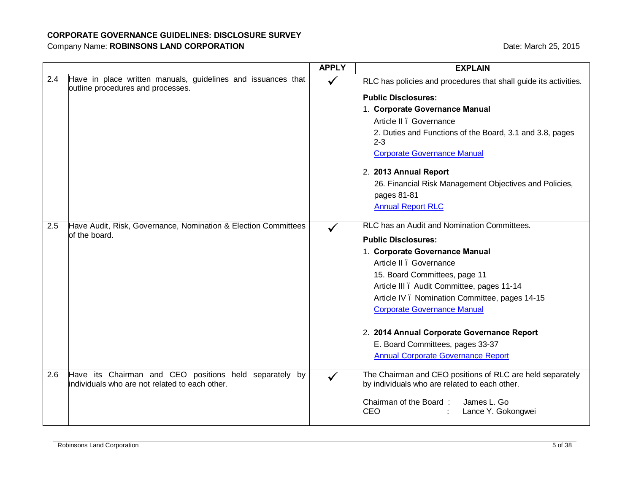|     |                                                                                                   | <b>APPLY</b> | <b>EXPLAIN</b>                                                            |
|-----|---------------------------------------------------------------------------------------------------|--------------|---------------------------------------------------------------------------|
| 2.4 | Have in place written manuals, guidelines and issuances that<br>outline procedures and processes. | $\checkmark$ | RLC has policies and procedures that shall guide its activities.          |
|     |                                                                                                   |              | <b>Public Disclosures:</b>                                                |
|     |                                                                                                   |              | 1. Corporate Governance Manual                                            |
|     |                                                                                                   |              | Article II . Governance                                                   |
|     |                                                                                                   |              | 2. Duties and Functions of the Board, 3.1 and 3.8, pages<br>$2 - 3$       |
|     |                                                                                                   |              | <b>Corporate Governance Manual</b>                                        |
|     |                                                                                                   |              | 2. 2013 Annual Report                                                     |
|     |                                                                                                   |              | 26. Financial Risk Management Objectives and Policies,<br>pages 81-81     |
|     |                                                                                                   |              | <b>Annual Report RLC</b>                                                  |
| 2.5 | Have Audit, Risk, Governance, Nomination & Election Committees                                    | $\checkmark$ | RLC has an Audit and Nomination Committees.                               |
|     | of the board.                                                                                     |              | <b>Public Disclosures:</b>                                                |
|     |                                                                                                   |              | 1. Corporate Governance Manual                                            |
|     |                                                                                                   |              | Article II . Governance                                                   |
|     |                                                                                                   |              | 15. Board Committees, page 11                                             |
|     |                                                                                                   |              | Article III . Audit Committee, pages 11-14                                |
|     |                                                                                                   |              | Article IV . Nomination Committee, pages 14-15                            |
|     |                                                                                                   |              | <b>Corporate Governance Manual</b>                                        |
|     |                                                                                                   |              | 2. 2014 Annual Corporate Governance Report                                |
|     |                                                                                                   |              | E. Board Committees, pages 33-37                                          |
|     |                                                                                                   |              | <b>Annual Corporate Governance Report</b>                                 |
| 2.6 | Have its Chairman and CEO positions held separately by                                            |              | The Chairman and CEO positions of RLC are held separately                 |
|     | lindividuals who are not related to each other.                                                   |              | by individuals who are related to each other.                             |
|     |                                                                                                   |              | Chairman of the Board:<br>James L. Go<br><b>CEO</b><br>Lance Y. Gokongwei |
|     |                                                                                                   |              |                                                                           |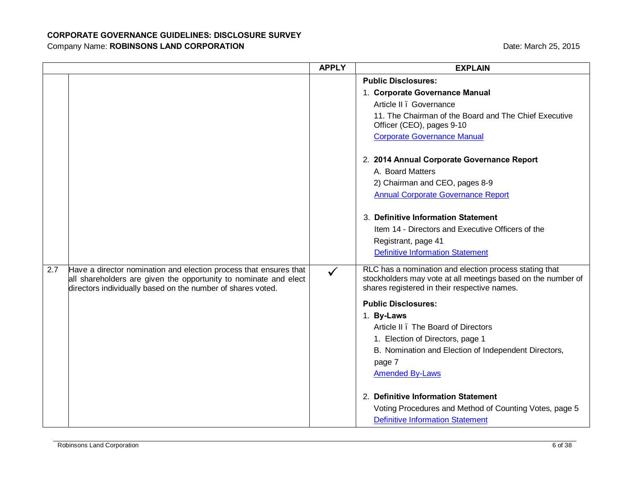|     |                                                                                                                                                                                                      | <b>APPLY</b> | <b>EXPLAIN</b>                                                                                                                                                         |
|-----|------------------------------------------------------------------------------------------------------------------------------------------------------------------------------------------------------|--------------|------------------------------------------------------------------------------------------------------------------------------------------------------------------------|
|     |                                                                                                                                                                                                      |              | <b>Public Disclosures:</b>                                                                                                                                             |
|     |                                                                                                                                                                                                      |              | 1. Corporate Governance Manual                                                                                                                                         |
|     |                                                                                                                                                                                                      |              | Article II . Governance                                                                                                                                                |
|     |                                                                                                                                                                                                      |              | 11. The Chairman of the Board and The Chief Executive<br>Officer (CEO), pages 9-10                                                                                     |
|     |                                                                                                                                                                                                      |              | <b>Corporate Governance Manual</b>                                                                                                                                     |
|     |                                                                                                                                                                                                      |              | 2. 2014 Annual Corporate Governance Report                                                                                                                             |
|     |                                                                                                                                                                                                      |              | A. Board Matters                                                                                                                                                       |
|     |                                                                                                                                                                                                      |              | 2) Chairman and CEO, pages 8-9                                                                                                                                         |
|     |                                                                                                                                                                                                      |              | <b>Annual Corporate Governance Report</b>                                                                                                                              |
|     |                                                                                                                                                                                                      |              | 3. Definitive Information Statement                                                                                                                                    |
|     |                                                                                                                                                                                                      |              | Item 14 - Directors and Executive Officers of the                                                                                                                      |
|     |                                                                                                                                                                                                      |              | Registrant, page 41                                                                                                                                                    |
|     |                                                                                                                                                                                                      |              | <b>Definitive Information Statement</b>                                                                                                                                |
| 2.7 | Have a director nomination and election process that ensures that<br>all shareholders are given the opportunity to nominate and elect<br>directors individually based on the number of shares voted. | $\checkmark$ | RLC has a nomination and election process stating that<br>stockholders may vote at all meetings based on the number of<br>shares registered in their respective names. |
|     |                                                                                                                                                                                                      |              | <b>Public Disclosures:</b>                                                                                                                                             |
|     |                                                                                                                                                                                                      |              | 1. By-Laws                                                                                                                                                             |
|     |                                                                                                                                                                                                      |              | Article II . The Board of Directors                                                                                                                                    |
|     |                                                                                                                                                                                                      |              | 1. Election of Directors, page 1                                                                                                                                       |
|     |                                                                                                                                                                                                      |              | B. Nomination and Election of Independent Directors,                                                                                                                   |
|     |                                                                                                                                                                                                      |              | page 7                                                                                                                                                                 |
|     |                                                                                                                                                                                                      |              | <b>Amended By-Laws</b>                                                                                                                                                 |
|     |                                                                                                                                                                                                      |              | 2. Definitive Information Statement                                                                                                                                    |
|     |                                                                                                                                                                                                      |              | Voting Procedures and Method of Counting Votes, page 5                                                                                                                 |
|     |                                                                                                                                                                                                      |              | <b>Definitive Information Statement</b>                                                                                                                                |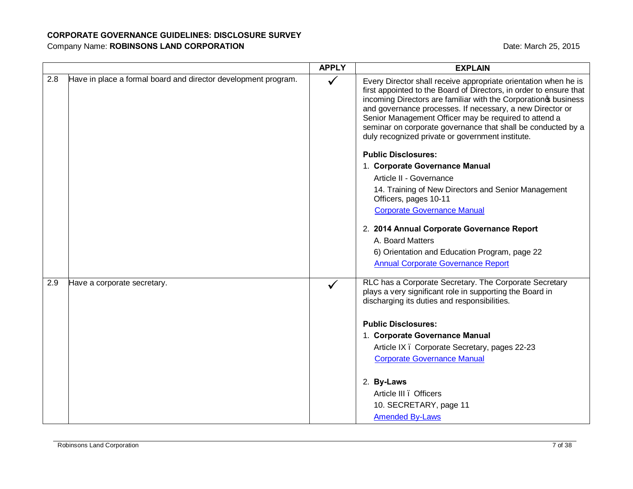|     |                                                                | <b>APPLY</b> | <b>EXPLAIN</b>                                                                                                                                                                                                                                                                                                                                                                                                                                                                                                                                 |
|-----|----------------------------------------------------------------|--------------|------------------------------------------------------------------------------------------------------------------------------------------------------------------------------------------------------------------------------------------------------------------------------------------------------------------------------------------------------------------------------------------------------------------------------------------------------------------------------------------------------------------------------------------------|
| 2.8 | Have in place a formal board and director development program. |              | Every Director shall receive appropriate orientation when he is<br>first appointed to the Board of Directors, in order to ensure that<br>incoming Directors are familiar with the Corporation of business<br>and governance processes. If necessary, a new Director or<br>Senior Management Officer may be required to attend a<br>seminar on corporate governance that shall be conducted by a<br>duly recognized private or government institute.<br><b>Public Disclosures:</b><br>1. Corporate Governance Manual<br>Article II - Governance |
|     |                                                                |              | 14. Training of New Directors and Senior Management<br>Officers, pages 10-11                                                                                                                                                                                                                                                                                                                                                                                                                                                                   |
|     |                                                                |              | <b>Corporate Governance Manual</b>                                                                                                                                                                                                                                                                                                                                                                                                                                                                                                             |
|     |                                                                |              | 2. 2014 Annual Corporate Governance Report                                                                                                                                                                                                                                                                                                                                                                                                                                                                                                     |
|     |                                                                |              | A. Board Matters                                                                                                                                                                                                                                                                                                                                                                                                                                                                                                                               |
|     |                                                                |              | 6) Orientation and Education Program, page 22                                                                                                                                                                                                                                                                                                                                                                                                                                                                                                  |
|     |                                                                |              | <b>Annual Corporate Governance Report</b>                                                                                                                                                                                                                                                                                                                                                                                                                                                                                                      |
| 2.9 | Have a corporate secretary.                                    |              | RLC has a Corporate Secretary. The Corporate Secretary<br>plays a very significant role in supporting the Board in<br>discharging its duties and responsibilities.                                                                                                                                                                                                                                                                                                                                                                             |
|     |                                                                |              | <b>Public Disclosures:</b>                                                                                                                                                                                                                                                                                                                                                                                                                                                                                                                     |
|     |                                                                |              | 1. Corporate Governance Manual                                                                                                                                                                                                                                                                                                                                                                                                                                                                                                                 |
|     |                                                                |              | Article IX . Corporate Secretary, pages 22-23                                                                                                                                                                                                                                                                                                                                                                                                                                                                                                  |
|     |                                                                |              | <b>Corporate Governance Manual</b>                                                                                                                                                                                                                                                                                                                                                                                                                                                                                                             |
|     |                                                                |              | 2. By-Laws                                                                                                                                                                                                                                                                                                                                                                                                                                                                                                                                     |
|     |                                                                |              | Article III . Officers                                                                                                                                                                                                                                                                                                                                                                                                                                                                                                                         |
|     |                                                                |              | 10. SECRETARY, page 11                                                                                                                                                                                                                                                                                                                                                                                                                                                                                                                         |
|     |                                                                |              | <b>Amended By-Laws</b>                                                                                                                                                                                                                                                                                                                                                                                                                                                                                                                         |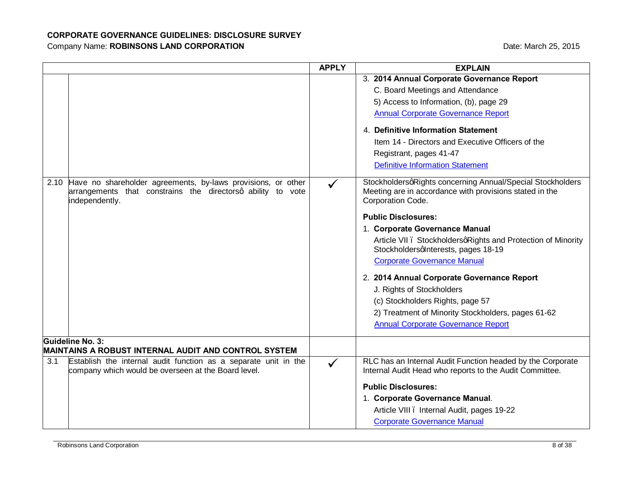|      |                                                                                                                                               | <b>APPLY</b> | <b>EXPLAIN</b>                                                                                                                                                                                                                                                                                                                                                                                                                                                                                                                                                                                                                                                                                                                                                                                                                                                                                                       |
|------|-----------------------------------------------------------------------------------------------------------------------------------------------|--------------|----------------------------------------------------------------------------------------------------------------------------------------------------------------------------------------------------------------------------------------------------------------------------------------------------------------------------------------------------------------------------------------------------------------------------------------------------------------------------------------------------------------------------------------------------------------------------------------------------------------------------------------------------------------------------------------------------------------------------------------------------------------------------------------------------------------------------------------------------------------------------------------------------------------------|
| 2.10 | Have no shareholder agreements, by-laws provisions, or other<br>arrangements that constrains the directorsq ability to vote<br>independently. | $\checkmark$ | 3. 2014 Annual Corporate Governance Report<br>C. Board Meetings and Attendance<br>5) Access to Information, (b), page 29<br><b>Annual Corporate Governance Report</b><br>4. Definitive Information Statement<br>Item 14 - Directors and Executive Officers of the<br>Registrant, pages 41-47<br><b>Definitive Information Statement</b><br>StockholdersqRights concerning Annual/Special Stockholders<br>Meeting are in accordance with provisions stated in the<br>Corporation Code.<br><b>Public Disclosures:</b><br>1. Corporate Governance Manual<br>Article VII . StockholdersqRights and Protection of Minority<br>Stockholdersqlnterests, pages 18-19<br><b>Corporate Governance Manual</b><br>2. 2014 Annual Corporate Governance Report<br>J. Rights of Stockholders<br>(c) Stockholders Rights, page 57<br>2) Treatment of Minority Stockholders, pages 61-62<br><b>Annual Corporate Governance Report</b> |
|      | Guideline No. 3:<br>MAINTAINS A ROBUST INTERNAL AUDIT AND CONTROL SYSTEM                                                                      |              |                                                                                                                                                                                                                                                                                                                                                                                                                                                                                                                                                                                                                                                                                                                                                                                                                                                                                                                      |
| 3.1  | Establish the internal audit function as a separate unit in the<br>company which would be overseen at the Board level.                        | $\checkmark$ | RLC has an Internal Audit Function headed by the Corporate<br>Internal Audit Head who reports to the Audit Committee.<br><b>Public Disclosures:</b><br>1. Corporate Governance Manual.<br>Article VIII . Internal Audit, pages 19-22<br><b>Corporate Governance Manual</b>                                                                                                                                                                                                                                                                                                                                                                                                                                                                                                                                                                                                                                           |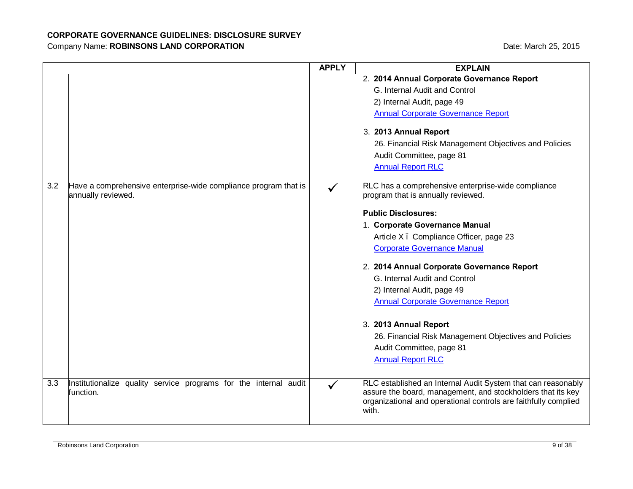|     |                                                                                       | <b>APPLY</b> | <b>EXPLAIN</b>                                                                                                                                                                                          |
|-----|---------------------------------------------------------------------------------------|--------------|---------------------------------------------------------------------------------------------------------------------------------------------------------------------------------------------------------|
|     |                                                                                       |              | 2. 2014 Annual Corporate Governance Report                                                                                                                                                              |
|     |                                                                                       |              | G. Internal Audit and Control                                                                                                                                                                           |
|     |                                                                                       |              | 2) Internal Audit, page 49                                                                                                                                                                              |
|     |                                                                                       |              | <b>Annual Corporate Governance Report</b>                                                                                                                                                               |
|     |                                                                                       |              | 3. 2013 Annual Report                                                                                                                                                                                   |
|     |                                                                                       |              | 26. Financial Risk Management Objectives and Policies                                                                                                                                                   |
|     |                                                                                       |              | Audit Committee, page 81                                                                                                                                                                                |
|     |                                                                                       |              | <b>Annual Report RLC</b>                                                                                                                                                                                |
| 3.2 | Have a comprehensive enterprise-wide compliance program that is<br>annually reviewed. |              | RLC has a comprehensive enterprise-wide compliance<br>program that is annually reviewed.                                                                                                                |
|     |                                                                                       |              | <b>Public Disclosures:</b>                                                                                                                                                                              |
|     |                                                                                       |              | 1. Corporate Governance Manual                                                                                                                                                                          |
|     |                                                                                       |              | Article X. Compliance Officer, page 23                                                                                                                                                                  |
|     |                                                                                       |              | <b>Corporate Governance Manual</b>                                                                                                                                                                      |
|     |                                                                                       |              |                                                                                                                                                                                                         |
|     |                                                                                       |              | 2. 2014 Annual Corporate Governance Report                                                                                                                                                              |
|     |                                                                                       |              | G. Internal Audit and Control                                                                                                                                                                           |
|     |                                                                                       |              | 2) Internal Audit, page 49                                                                                                                                                                              |
|     |                                                                                       |              | <b>Annual Corporate Governance Report</b>                                                                                                                                                               |
|     |                                                                                       |              | 3. 2013 Annual Report                                                                                                                                                                                   |
|     |                                                                                       |              | 26. Financial Risk Management Objectives and Policies                                                                                                                                                   |
|     |                                                                                       |              | Audit Committee, page 81                                                                                                                                                                                |
|     |                                                                                       |              | <b>Annual Report RLC</b>                                                                                                                                                                                |
|     |                                                                                       |              |                                                                                                                                                                                                         |
| 3.3 | Institutionalize quality service programs for the internal audit<br>function.         | $\checkmark$ | RLC established an Internal Audit System that can reasonably<br>assure the board, management, and stockholders that its key<br>organizational and operational controls are faithfully complied<br>with. |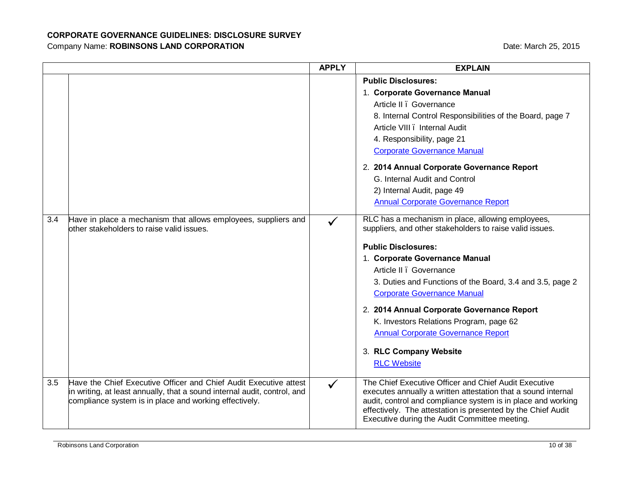|     |                                                                                                                                    | <b>APPLY</b> | <b>EXPLAIN</b>                                                                                                                                                                                                                                 |
|-----|------------------------------------------------------------------------------------------------------------------------------------|--------------|------------------------------------------------------------------------------------------------------------------------------------------------------------------------------------------------------------------------------------------------|
|     |                                                                                                                                    |              | <b>Public Disclosures:</b>                                                                                                                                                                                                                     |
|     |                                                                                                                                    |              | 1. Corporate Governance Manual                                                                                                                                                                                                                 |
|     |                                                                                                                                    |              | Article II . Governance                                                                                                                                                                                                                        |
|     |                                                                                                                                    |              | 8. Internal Control Responsibilities of the Board, page 7                                                                                                                                                                                      |
|     |                                                                                                                                    |              | Article VIII . Internal Audit                                                                                                                                                                                                                  |
|     |                                                                                                                                    |              | 4. Responsibility, page 21                                                                                                                                                                                                                     |
|     |                                                                                                                                    |              | <b>Corporate Governance Manual</b>                                                                                                                                                                                                             |
|     |                                                                                                                                    |              | 2. 2014 Annual Corporate Governance Report                                                                                                                                                                                                     |
|     |                                                                                                                                    |              | G. Internal Audit and Control                                                                                                                                                                                                                  |
|     |                                                                                                                                    |              | 2) Internal Audit, page 49                                                                                                                                                                                                                     |
|     |                                                                                                                                    |              | <b>Annual Corporate Governance Report</b>                                                                                                                                                                                                      |
| 3.4 | Have in place a mechanism that allows employees, suppliers and<br>other stakeholders to raise valid issues.                        | ✓            | RLC has a mechanism in place, allowing employees,<br>suppliers, and other stakeholders to raise valid issues.                                                                                                                                  |
|     |                                                                                                                                    |              | <b>Public Disclosures:</b>                                                                                                                                                                                                                     |
|     |                                                                                                                                    |              | 1. Corporate Governance Manual                                                                                                                                                                                                                 |
|     |                                                                                                                                    |              | Article II . Governance                                                                                                                                                                                                                        |
|     |                                                                                                                                    |              | 3. Duties and Functions of the Board, 3.4 and 3.5, page 2                                                                                                                                                                                      |
|     |                                                                                                                                    |              | <b>Corporate Governance Manual</b>                                                                                                                                                                                                             |
|     |                                                                                                                                    |              | 2. 2014 Annual Corporate Governance Report                                                                                                                                                                                                     |
|     |                                                                                                                                    |              | K. Investors Relations Program, page 62                                                                                                                                                                                                        |
|     |                                                                                                                                    |              | <b>Annual Corporate Governance Report</b>                                                                                                                                                                                                      |
|     |                                                                                                                                    |              | 3. RLC Company Website                                                                                                                                                                                                                         |
|     |                                                                                                                                    |              | <b>RLC Website</b>                                                                                                                                                                                                                             |
| 3.5 | Have the Chief Executive Officer and Chief Audit Executive attest                                                                  | $\checkmark$ | The Chief Executive Officer and Chief Audit Executive                                                                                                                                                                                          |
|     | in writing, at least annually, that a sound internal audit, control, and<br>compliance system is in place and working effectively. |              | executes annually a written attestation that a sound internal<br>audit, control and compliance system is in place and working<br>effectively. The attestation is presented by the Chief Audit<br>Executive during the Audit Committee meeting. |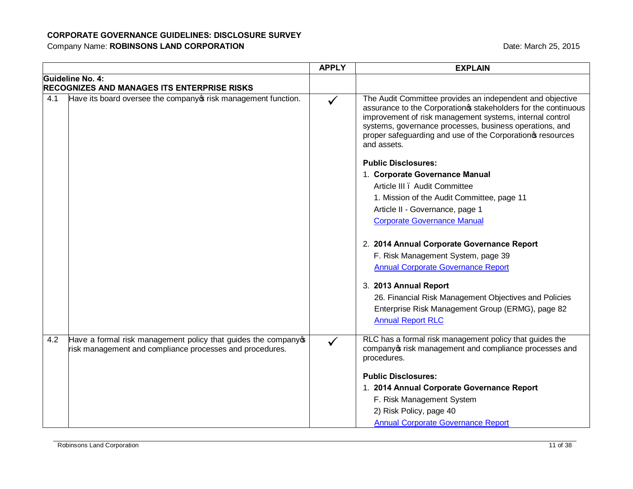|     |                                                                                                                          | <b>APPLY</b> | <b>EXPLAIN</b>                                                                                                                                                                                                                                                                                                                 |
|-----|--------------------------------------------------------------------------------------------------------------------------|--------------|--------------------------------------------------------------------------------------------------------------------------------------------------------------------------------------------------------------------------------------------------------------------------------------------------------------------------------|
|     | Guideline No. 4:<br>RECOGNIZES AND MANAGES ITS ENTERPRISE RISKS                                                          |              |                                                                                                                                                                                                                                                                                                                                |
| 4.1 | Have its board oversee the company or risk management function.                                                          |              | The Audit Committee provides an independent and objective<br>assurance to the Corporation stakeholders for the continuous<br>improvement of risk management systems, internal control<br>systems, governance processes, business operations, and<br>proper safeguarding and use of the Corporation of resources<br>and assets. |
|     |                                                                                                                          |              | <b>Public Disclosures:</b>                                                                                                                                                                                                                                                                                                     |
|     |                                                                                                                          |              | 1. Corporate Governance Manual                                                                                                                                                                                                                                                                                                 |
|     |                                                                                                                          |              | Article III . Audit Committee                                                                                                                                                                                                                                                                                                  |
|     |                                                                                                                          |              | 1. Mission of the Audit Committee, page 11                                                                                                                                                                                                                                                                                     |
|     |                                                                                                                          |              | Article II - Governance, page 1                                                                                                                                                                                                                                                                                                |
|     |                                                                                                                          |              | <b>Corporate Governance Manual</b>                                                                                                                                                                                                                                                                                             |
|     |                                                                                                                          |              | 2. 2014 Annual Corporate Governance Report<br>F. Risk Management System, page 39<br><b>Annual Corporate Governance Report</b>                                                                                                                                                                                                  |
|     |                                                                                                                          |              | 3. 2013 Annual Report                                                                                                                                                                                                                                                                                                          |
|     |                                                                                                                          |              | 26. Financial Risk Management Objectives and Policies                                                                                                                                                                                                                                                                          |
|     |                                                                                                                          |              | Enterprise Risk Management Group (ERMG), page 82<br><b>Annual Report RLC</b>                                                                                                                                                                                                                                                   |
| 4.2 | Have a formal risk management policy that guides the company<br>risk management and compliance processes and procedures. |              | RLC has a formal risk management policy that guides the<br>company of risk management and compliance processes and<br>procedures.                                                                                                                                                                                              |
|     |                                                                                                                          |              | <b>Public Disclosures:</b>                                                                                                                                                                                                                                                                                                     |
|     |                                                                                                                          |              | 1. 2014 Annual Corporate Governance Report                                                                                                                                                                                                                                                                                     |
|     |                                                                                                                          |              | F. Risk Management System                                                                                                                                                                                                                                                                                                      |
|     |                                                                                                                          |              | 2) Risk Policy, page 40                                                                                                                                                                                                                                                                                                        |
|     |                                                                                                                          |              | <b>Annual Corporate Governance Report</b>                                                                                                                                                                                                                                                                                      |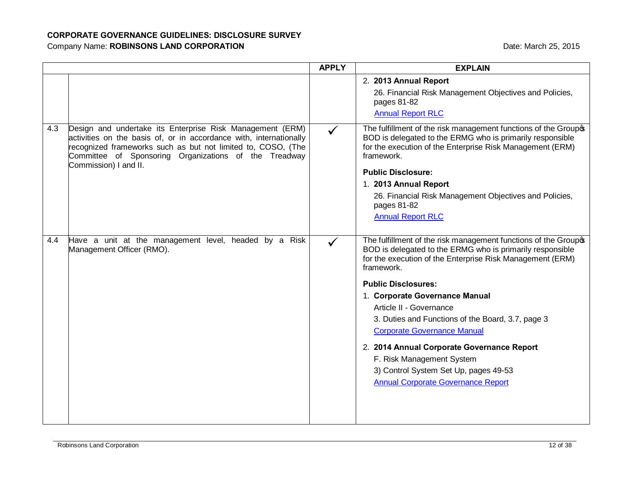|     |                                                                                                                                                                                                                                                                                   | <b>APPLY</b> | <b>EXPLAIN</b>                                                                                                                                                                                                                                                                                                                                                                                                                                                                                                                                                |
|-----|-----------------------------------------------------------------------------------------------------------------------------------------------------------------------------------------------------------------------------------------------------------------------------------|--------------|---------------------------------------------------------------------------------------------------------------------------------------------------------------------------------------------------------------------------------------------------------------------------------------------------------------------------------------------------------------------------------------------------------------------------------------------------------------------------------------------------------------------------------------------------------------|
|     |                                                                                                                                                                                                                                                                                   |              | 2. 2013 Annual Report<br>26. Financial Risk Management Objectives and Policies,<br>pages 81-82<br><b>Annual Report RLC</b>                                                                                                                                                                                                                                                                                                                                                                                                                                    |
| 4.3 | Design and undertake its Enterprise Risk Management (ERM)<br>activities on the basis of, or in accordance with, internationally<br>recognized frameworks such as but not limited to, COSO, (The<br>Committee of Sponsoring Organizations of the Treadway<br>Commission) I and II. | $\checkmark$ | The fulfillment of the risk management functions of the Groupo<br>BOD is delegated to the ERMG who is primarily responsible<br>for the execution of the Enterprise Risk Management (ERM)<br>framework.<br><b>Public Disclosure:</b><br>1. 2013 Annual Report<br>26. Financial Risk Management Objectives and Policies,<br>pages 81-82<br><b>Annual Report RLC</b>                                                                                                                                                                                             |
| 4.4 | Have a unit at the management level, headed by a Risk<br>Management Officer (RMO).                                                                                                                                                                                                |              | The fulfillment of the risk management functions of the Groupo<br>BOD is delegated to the ERMG who is primarily responsible<br>for the execution of the Enterprise Risk Management (ERM)<br>framework.<br><b>Public Disclosures:</b><br>1. Corporate Governance Manual<br>Article II - Governance<br>3. Duties and Functions of the Board, 3.7, page 3<br><b>Corporate Governance Manual</b><br>2. 2014 Annual Corporate Governance Report<br>F. Risk Management System<br>3) Control System Set Up, pages 49-53<br><b>Annual Corporate Governance Report</b> |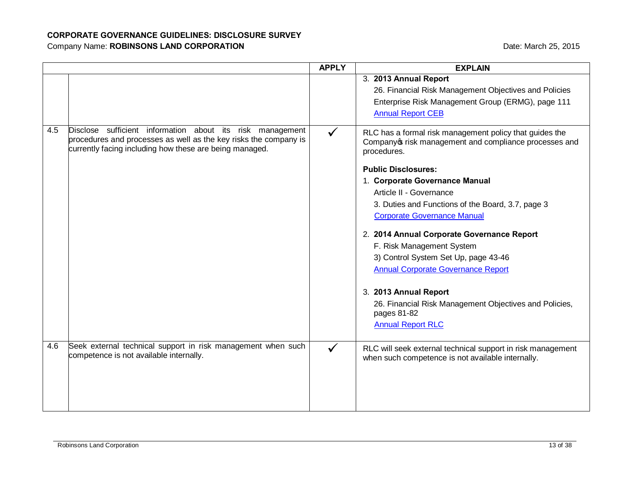|     |                                                                                                                                                                                          | <b>APPLY</b> | <b>EXPLAIN</b>                                                                                                                                                                                                                                                                                                                                                                                                                                                                                                                                                                                                       |
|-----|------------------------------------------------------------------------------------------------------------------------------------------------------------------------------------------|--------------|----------------------------------------------------------------------------------------------------------------------------------------------------------------------------------------------------------------------------------------------------------------------------------------------------------------------------------------------------------------------------------------------------------------------------------------------------------------------------------------------------------------------------------------------------------------------------------------------------------------------|
|     |                                                                                                                                                                                          |              | 3. 2013 Annual Report<br>26. Financial Risk Management Objectives and Policies<br>Enterprise Risk Management Group (ERMG), page 111<br><b>Annual Report CEB</b>                                                                                                                                                                                                                                                                                                                                                                                                                                                      |
| 4.5 | Disclose sufficient information about its risk management<br>procedures and processes as well as the key risks the company is<br>currently facing including how these are being managed. |              | RLC has a formal risk management policy that guides the<br>Company o risk management and compliance processes and<br>procedures.<br><b>Public Disclosures:</b><br>1. Corporate Governance Manual<br>Article II - Governance<br>3. Duties and Functions of the Board, 3.7, page 3<br><b>Corporate Governance Manual</b><br>2. 2014 Annual Corporate Governance Report<br>F. Risk Management System<br>3) Control System Set Up, page 43-46<br><b>Annual Corporate Governance Report</b><br>3. 2013 Annual Report<br>26. Financial Risk Management Objectives and Policies,<br>pages 81-82<br><b>Annual Report RLC</b> |
| 4.6 | Seek external technical support in risk management when such<br>competence is not available internally.                                                                                  |              | RLC will seek external technical support in risk management<br>when such competence is not available internally.                                                                                                                                                                                                                                                                                                                                                                                                                                                                                                     |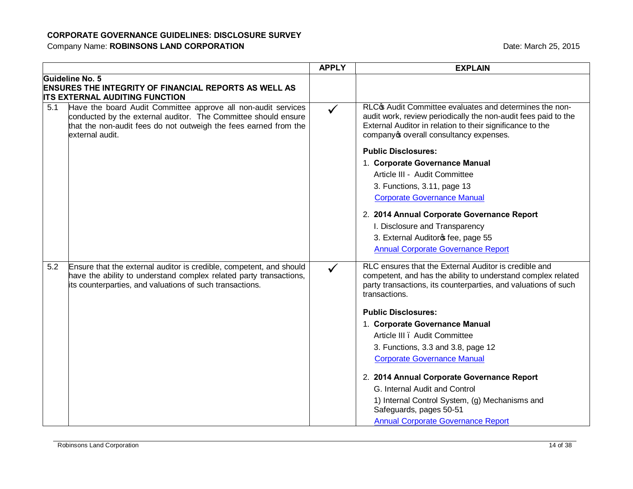|     |                                                                                                                                                                                                                        | <b>APPLY</b> | <b>EXPLAIN</b>                                                                                                                                                                                                                             |
|-----|------------------------------------------------------------------------------------------------------------------------------------------------------------------------------------------------------------------------|--------------|--------------------------------------------------------------------------------------------------------------------------------------------------------------------------------------------------------------------------------------------|
|     | Guideline No. 5<br><b>ENSURES THE INTEGRITY OF FINANCIAL REPORTS AS WELL AS</b><br><b>ITS EXTERNAL AUDITING FUNCTION</b>                                                                                               |              |                                                                                                                                                                                                                                            |
| 5.1 | Have the board Audit Committee approve all non-audit services<br>conducted by the external auditor. The Committee should ensure<br>that the non-audit fees do not outweigh the fees earned from the<br>external audit. | $\checkmark$ | RLC <sub>C</sub> Audit Committee evaluates and determines the non-<br>audit work, review periodically the non-audit fees paid to the<br>External Auditor in relation to their significance to the<br>company overall consultancy expenses. |
|     |                                                                                                                                                                                                                        |              | <b>Public Disclosures:</b>                                                                                                                                                                                                                 |
|     |                                                                                                                                                                                                                        |              | 1. Corporate Governance Manual                                                                                                                                                                                                             |
|     |                                                                                                                                                                                                                        |              | Article III - Audit Committee                                                                                                                                                                                                              |
|     |                                                                                                                                                                                                                        |              | 3. Functions, 3.11, page 13                                                                                                                                                                                                                |
|     |                                                                                                                                                                                                                        |              | <b>Corporate Governance Manual</b>                                                                                                                                                                                                         |
|     |                                                                                                                                                                                                                        |              | 2. 2014 Annual Corporate Governance Report                                                                                                                                                                                                 |
|     |                                                                                                                                                                                                                        |              | I. Disclosure and Transparency                                                                                                                                                                                                             |
|     |                                                                                                                                                                                                                        |              | 3. External Auditoros fee, page 55                                                                                                                                                                                                         |
|     |                                                                                                                                                                                                                        |              | <b>Annual Corporate Governance Report</b>                                                                                                                                                                                                  |
| 5.2 | Ensure that the external auditor is credible, competent, and should<br>have the ability to understand complex related party transactions,<br>its counterparties, and valuations of such transactions.                  | $\checkmark$ | RLC ensures that the External Auditor is credible and<br>competent, and has the ability to understand complex related<br>party transactions, its counterparties, and valuations of such<br>transactions.                                   |
|     |                                                                                                                                                                                                                        |              | <b>Public Disclosures:</b>                                                                                                                                                                                                                 |
|     |                                                                                                                                                                                                                        |              | 1. Corporate Governance Manual                                                                                                                                                                                                             |
|     |                                                                                                                                                                                                                        |              | Article III . Audit Committee                                                                                                                                                                                                              |
|     |                                                                                                                                                                                                                        |              | 3. Functions, 3.3 and 3.8, page 12                                                                                                                                                                                                         |
|     |                                                                                                                                                                                                                        |              | <b>Corporate Governance Manual</b>                                                                                                                                                                                                         |
|     |                                                                                                                                                                                                                        |              | 2. 2014 Annual Corporate Governance Report                                                                                                                                                                                                 |
|     |                                                                                                                                                                                                                        |              | G. Internal Audit and Control                                                                                                                                                                                                              |
|     |                                                                                                                                                                                                                        |              | 1) Internal Control System, (g) Mechanisms and<br>Safeguards, pages 50-51                                                                                                                                                                  |
|     |                                                                                                                                                                                                                        |              | <b>Annual Corporate Governance Report</b>                                                                                                                                                                                                  |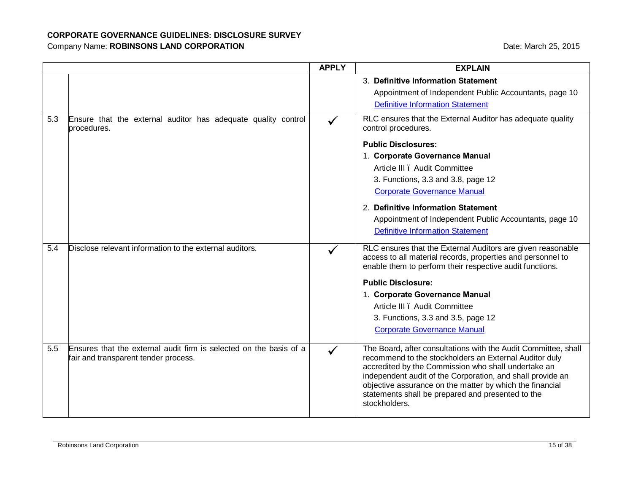|     |                                                                                                            | <b>APPLY</b> | <b>EXPLAIN</b>                                                                                                                                                                                                                                                                                                                                                                  |
|-----|------------------------------------------------------------------------------------------------------------|--------------|---------------------------------------------------------------------------------------------------------------------------------------------------------------------------------------------------------------------------------------------------------------------------------------------------------------------------------------------------------------------------------|
|     |                                                                                                            |              | 3. Definitive Information Statement<br>Appointment of Independent Public Accountants, page 10                                                                                                                                                                                                                                                                                   |
|     |                                                                                                            |              | <b>Definitive Information Statement</b>                                                                                                                                                                                                                                                                                                                                         |
| 5.3 | Ensure that the external auditor has adequate quality control<br>procedures.                               |              | RLC ensures that the External Auditor has adequate quality<br>control procedures.                                                                                                                                                                                                                                                                                               |
|     |                                                                                                            |              | <b>Public Disclosures:</b>                                                                                                                                                                                                                                                                                                                                                      |
|     |                                                                                                            |              | 1. Corporate Governance Manual                                                                                                                                                                                                                                                                                                                                                  |
|     |                                                                                                            |              | Article III . Audit Committee                                                                                                                                                                                                                                                                                                                                                   |
|     |                                                                                                            |              | 3. Functions, 3.3 and 3.8, page 12                                                                                                                                                                                                                                                                                                                                              |
|     |                                                                                                            |              | <b>Corporate Governance Manual</b>                                                                                                                                                                                                                                                                                                                                              |
|     |                                                                                                            |              | 2. Definitive Information Statement                                                                                                                                                                                                                                                                                                                                             |
|     |                                                                                                            |              | Appointment of Independent Public Accountants, page 10                                                                                                                                                                                                                                                                                                                          |
|     |                                                                                                            |              | <b>Definitive Information Statement</b>                                                                                                                                                                                                                                                                                                                                         |
| 5.4 | Disclose relevant information to the external auditors.                                                    |              | RLC ensures that the External Auditors are given reasonable<br>access to all material records, properties and personnel to<br>enable them to perform their respective audit functions.                                                                                                                                                                                          |
|     |                                                                                                            |              | <b>Public Disclosure:</b>                                                                                                                                                                                                                                                                                                                                                       |
|     |                                                                                                            |              | 1. Corporate Governance Manual                                                                                                                                                                                                                                                                                                                                                  |
|     |                                                                                                            |              | Article III . Audit Committee                                                                                                                                                                                                                                                                                                                                                   |
|     |                                                                                                            |              | 3. Functions, 3.3 and 3.5, page 12                                                                                                                                                                                                                                                                                                                                              |
|     |                                                                                                            |              | <b>Corporate Governance Manual</b>                                                                                                                                                                                                                                                                                                                                              |
| 5.5 | Ensures that the external audit firm is selected on the basis of a<br>fair and transparent tender process. | ✓            | The Board, after consultations with the Audit Committee, shall<br>recommend to the stockholders an External Auditor duly<br>accredited by the Commission who shall undertake an<br>independent audit of the Corporation, and shall provide an<br>objective assurance on the matter by which the financial<br>statements shall be prepared and presented to the<br>stockholders. |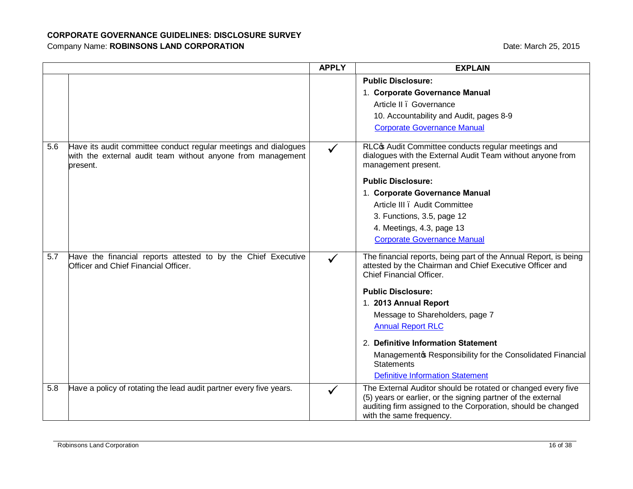|     |                                                                                                                                            | <b>APPLY</b> | <b>EXPLAIN</b>                                                                                                                                                                                                           |
|-----|--------------------------------------------------------------------------------------------------------------------------------------------|--------------|--------------------------------------------------------------------------------------------------------------------------------------------------------------------------------------------------------------------------|
|     |                                                                                                                                            |              | <b>Public Disclosure:</b>                                                                                                                                                                                                |
|     |                                                                                                                                            |              | 1. Corporate Governance Manual                                                                                                                                                                                           |
|     |                                                                                                                                            |              | Article II . Governance                                                                                                                                                                                                  |
|     |                                                                                                                                            |              | 10. Accountability and Audit, pages 8-9                                                                                                                                                                                  |
|     |                                                                                                                                            |              | <b>Corporate Governance Manual</b>                                                                                                                                                                                       |
| 5.6 | Have its audit committee conduct regular meetings and dialogues<br>with the external audit team without anyone from management<br>present. | $\checkmark$ | RLC <sub>C</sub> Audit Committee conducts regular meetings and<br>dialogues with the External Audit Team without anyone from<br>management present.                                                                      |
|     |                                                                                                                                            |              | <b>Public Disclosure:</b>                                                                                                                                                                                                |
|     |                                                                                                                                            |              | 1. Corporate Governance Manual                                                                                                                                                                                           |
|     |                                                                                                                                            |              | Article III . Audit Committee                                                                                                                                                                                            |
|     |                                                                                                                                            |              | 3. Functions, 3.5, page 12                                                                                                                                                                                               |
|     |                                                                                                                                            |              | 4. Meetings, 4.3, page 13                                                                                                                                                                                                |
|     |                                                                                                                                            |              | <b>Corporate Governance Manual</b>                                                                                                                                                                                       |
| 5.7 | Have the financial reports attested to by the Chief Executive<br>Officer and Chief Financial Officer.                                      | $\checkmark$ | The financial reports, being part of the Annual Report, is being<br>attested by the Chairman and Chief Executive Officer and<br>Chief Financial Officer.                                                                 |
|     |                                                                                                                                            |              | <b>Public Disclosure:</b>                                                                                                                                                                                                |
|     |                                                                                                                                            |              | 1. 2013 Annual Report                                                                                                                                                                                                    |
|     |                                                                                                                                            |              | Message to Shareholders, page 7                                                                                                                                                                                          |
|     |                                                                                                                                            |              | <b>Annual Report RLC</b>                                                                                                                                                                                                 |
|     |                                                                                                                                            |              | 2. Definitive Information Statement                                                                                                                                                                                      |
|     |                                                                                                                                            |              | Management & Responsibility for the Consolidated Financial<br><b>Statements</b>                                                                                                                                          |
|     |                                                                                                                                            |              | <b>Definitive Information Statement</b>                                                                                                                                                                                  |
| 5.8 | Have a policy of rotating the lead audit partner every five years.                                                                         |              | The External Auditor should be rotated or changed every five<br>(5) years or earlier, or the signing partner of the external<br>auditing firm assigned to the Corporation, should be changed<br>with the same frequency. |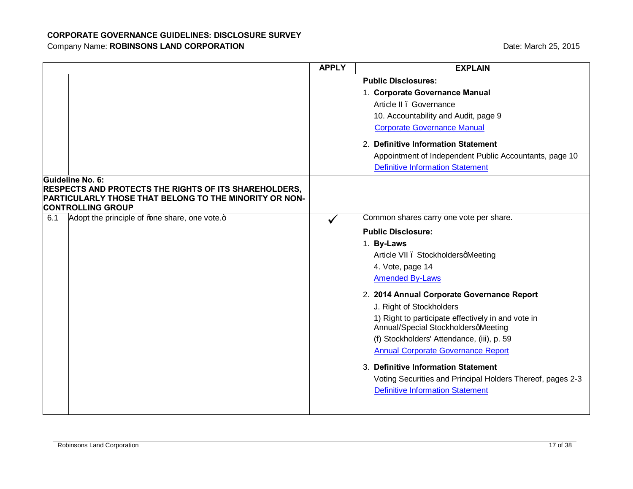|                                                                                                                                                                        | <b>APPLY</b> | <b>EXPLAIN</b>                                                                                                                                                                                                                                                                                                                                                                                                                                                                                                                                                                           |
|------------------------------------------------------------------------------------------------------------------------------------------------------------------------|--------------|------------------------------------------------------------------------------------------------------------------------------------------------------------------------------------------------------------------------------------------------------------------------------------------------------------------------------------------------------------------------------------------------------------------------------------------------------------------------------------------------------------------------------------------------------------------------------------------|
|                                                                                                                                                                        |              | <b>Public Disclosures:</b><br>1. Corporate Governance Manual<br>Article II . Governance<br>10. Accountability and Audit, page 9<br><b>Corporate Governance Manual</b><br>2. Definitive Information Statement<br>Appointment of Independent Public Accountants, page 10<br><b>Definitive Information Statement</b>                                                                                                                                                                                                                                                                        |
| Guideline No. 6:<br><b>RESPECTS AND PROTECTS THE RIGHTS OF ITS SHAREHOLDERS,</b><br>PARTICULARLY THOSE THAT BELONG TO THE MINORITY OR NON-<br><b>CONTROLLING GROUP</b> |              |                                                                                                                                                                                                                                                                                                                                                                                                                                                                                                                                                                                          |
| Adopt the principle of % ane share, one vote.+<br>6.1                                                                                                                  | $\checkmark$ | Common shares carry one vote per share.<br><b>Public Disclosure:</b><br>1. By-Laws<br>Article VII . StockholdersqMeeting<br>4. Vote, page 14<br><b>Amended By-Laws</b><br>2. 2014 Annual Corporate Governance Report<br>J. Right of Stockholders<br>1) Right to participate effectively in and vote in<br>Annual/Special StockholdersqMeeting<br>(f) Stockholders' Attendance, (iii), p. 59<br><b>Annual Corporate Governance Report</b><br>3. Definitive Information Statement<br>Voting Securities and Principal Holders Thereof, pages 2-3<br><b>Definitive Information Statement</b> |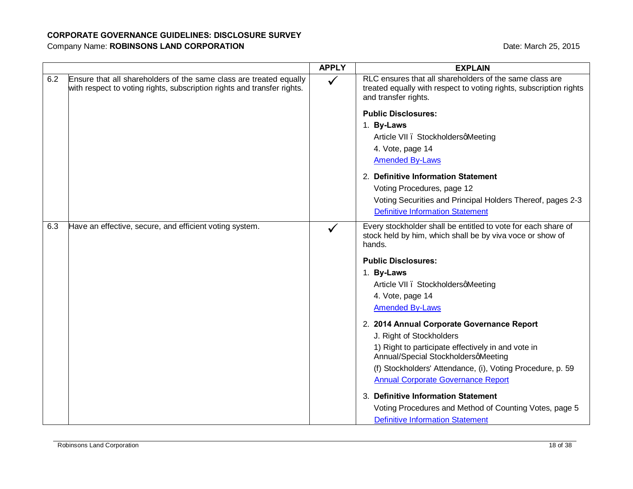|     |                                                                                                                                               | <b>APPLY</b> | <b>EXPLAIN</b>                                                                                                                                        |
|-----|-----------------------------------------------------------------------------------------------------------------------------------------------|--------------|-------------------------------------------------------------------------------------------------------------------------------------------------------|
| 6.2 | Ensure that all shareholders of the same class are treated equally<br>with respect to voting rights, subscription rights and transfer rights. | $\checkmark$ | RLC ensures that all shareholders of the same class are<br>treated equally with respect to voting rights, subscription rights<br>and transfer rights. |
|     |                                                                                                                                               |              | <b>Public Disclosures:</b>                                                                                                                            |
|     |                                                                                                                                               |              | 1. By-Laws                                                                                                                                            |
|     |                                                                                                                                               |              | Article VII . StockholdersqMeeting                                                                                                                    |
|     |                                                                                                                                               |              | 4. Vote, page 14                                                                                                                                      |
|     |                                                                                                                                               |              | <b>Amended By-Laws</b>                                                                                                                                |
|     |                                                                                                                                               |              | 2. Definitive Information Statement                                                                                                                   |
|     |                                                                                                                                               |              | Voting Procedures, page 12                                                                                                                            |
|     |                                                                                                                                               |              | Voting Securities and Principal Holders Thereof, pages 2-3                                                                                            |
|     |                                                                                                                                               |              | <b>Definitive Information Statement</b>                                                                                                               |
| 6.3 | Have an effective, secure, and efficient voting system.                                                                                       |              | Every stockholder shall be entitled to vote for each share of<br>stock held by him, which shall be by viva voce or show of<br>hands.                  |
|     |                                                                                                                                               |              | <b>Public Disclosures:</b>                                                                                                                            |
|     |                                                                                                                                               |              | 1. By-Laws                                                                                                                                            |
|     |                                                                                                                                               |              | Article VII . StockholdersqMeeting                                                                                                                    |
|     |                                                                                                                                               |              | 4. Vote, page 14                                                                                                                                      |
|     |                                                                                                                                               |              | <b>Amended By-Laws</b>                                                                                                                                |
|     |                                                                                                                                               |              | 2. 2014 Annual Corporate Governance Report                                                                                                            |
|     |                                                                                                                                               |              | J. Right of Stockholders                                                                                                                              |
|     |                                                                                                                                               |              | 1) Right to participate effectively in and vote in<br>Annual/Special StockholdersqMeeting                                                             |
|     |                                                                                                                                               |              | (f) Stockholders' Attendance, (i), Voting Procedure, p. 59                                                                                            |
|     |                                                                                                                                               |              | <b>Annual Corporate Governance Report</b>                                                                                                             |
|     |                                                                                                                                               |              | 3. Definitive Information Statement                                                                                                                   |
|     |                                                                                                                                               |              | Voting Procedures and Method of Counting Votes, page 5                                                                                                |
|     |                                                                                                                                               |              | <b>Definitive Information Statement</b>                                                                                                               |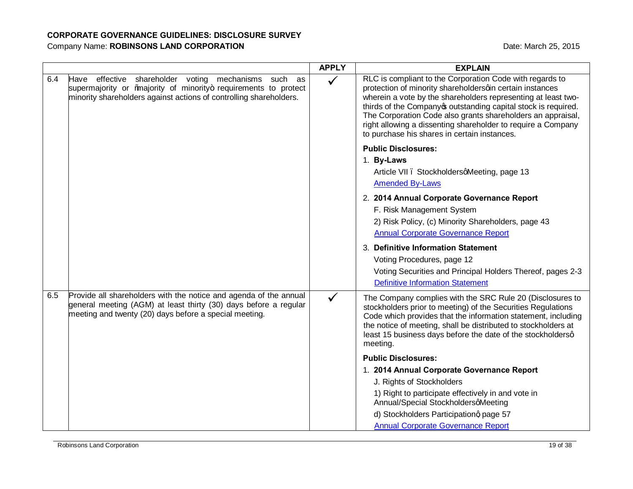|     |                                                                                                                                                                                                 | <b>APPLY</b> | <b>EXPLAIN</b>                                                                                                                                                                                                                                                                                                                                                                                                                       |
|-----|-------------------------------------------------------------------------------------------------------------------------------------------------------------------------------------------------|--------------|--------------------------------------------------------------------------------------------------------------------------------------------------------------------------------------------------------------------------------------------------------------------------------------------------------------------------------------------------------------------------------------------------------------------------------------|
| 6.4 | Have effective shareholder voting mechanisms such as<br>supermajority or ‰ajority of minority+ requirements to protect<br>minority shareholders against actions of controlling shareholders.    | $\checkmark$ | RLC is compliant to the Corporation Code with regards to<br>protection of minority shareholdersqin certain instances<br>wherein a vote by the shareholders representing at least two-<br>thirds of the Company outstanding capital stock is required.<br>The Corporation Code also grants shareholders an appraisal,<br>right allowing a dissenting shareholder to require a Company<br>to purchase his shares in certain instances. |
|     |                                                                                                                                                                                                 |              | <b>Public Disclosures:</b><br>1. By-Laws<br>Article VII . StockholdersqMeeting, page 13<br><b>Amended By-Laws</b><br>2. 2014 Annual Corporate Governance Report<br>F. Risk Management System<br>2) Risk Policy, (c) Minority Shareholders, page 43<br><b>Annual Corporate Governance Report</b>                                                                                                                                      |
|     |                                                                                                                                                                                                 |              | 3. Definitive Information Statement<br>Voting Procedures, page 12<br>Voting Securities and Principal Holders Thereof, pages 2-3<br><b>Definitive Information Statement</b>                                                                                                                                                                                                                                                           |
| 6.5 | Provide all shareholders with the notice and agenda of the annual<br>general meeting (AGM) at least thirty (30) days before a regular<br>meeting and twenty (20) days before a special meeting. |              | The Company complies with the SRC Rule 20 (Disclosures to<br>stockholders prior to meeting) of the Securities Regulations<br>Code which provides that the information statement, including<br>the notice of meeting, shall be distributed to stockholders at<br>least 15 business days before the date of the stockholdersq<br>meeting.                                                                                              |
|     |                                                                                                                                                                                                 |              | <b>Public Disclosures:</b>                                                                                                                                                                                                                                                                                                                                                                                                           |
|     |                                                                                                                                                                                                 |              | 1. 2014 Annual Corporate Governance Report                                                                                                                                                                                                                                                                                                                                                                                           |
|     |                                                                                                                                                                                                 |              | J. Rights of Stockholders                                                                                                                                                                                                                                                                                                                                                                                                            |
|     |                                                                                                                                                                                                 |              | 1) Right to participate effectively in and vote in<br>Annual/Special StockholdersqMeeting                                                                                                                                                                                                                                                                                                                                            |
|     |                                                                                                                                                                                                 |              | d) Stockholders Participationg page 57                                                                                                                                                                                                                                                                                                                                                                                               |
|     |                                                                                                                                                                                                 |              | <b>Annual Corporate Governance Report</b>                                                                                                                                                                                                                                                                                                                                                                                            |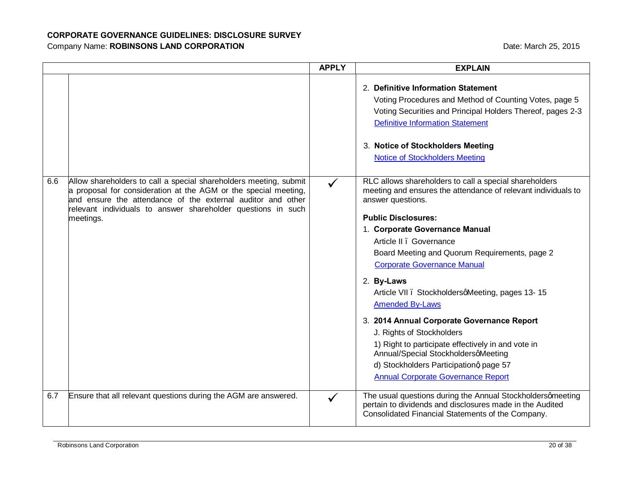|     |                                                                                                                                                                                                                                                                                  | <b>APPLY</b> | <b>EXPLAIN</b>                                                                                                                                                                                                                                                                                                                                                                                                                                                                                                                                                                                                                                                                           |
|-----|----------------------------------------------------------------------------------------------------------------------------------------------------------------------------------------------------------------------------------------------------------------------------------|--------------|------------------------------------------------------------------------------------------------------------------------------------------------------------------------------------------------------------------------------------------------------------------------------------------------------------------------------------------------------------------------------------------------------------------------------------------------------------------------------------------------------------------------------------------------------------------------------------------------------------------------------------------------------------------------------------------|
|     |                                                                                                                                                                                                                                                                                  |              | 2. Definitive Information Statement<br>Voting Procedures and Method of Counting Votes, page 5<br>Voting Securities and Principal Holders Thereof, pages 2-3<br><b>Definitive Information Statement</b><br>3. Notice of Stockholders Meeting<br><b>Notice of Stockholders Meeting</b>                                                                                                                                                                                                                                                                                                                                                                                                     |
| 6.6 | Allow shareholders to call a special shareholders meeting, submit<br>a proposal for consideration at the AGM or the special meeting,<br>and ensure the attendance of the external auditor and other<br>relevant individuals to answer shareholder questions in such<br>meetings. |              | RLC allows shareholders to call a special shareholders<br>meeting and ensures the attendance of relevant individuals to<br>answer questions.<br><b>Public Disclosures:</b><br>1. Corporate Governance Manual<br>Article II . Governance<br>Board Meeting and Quorum Requirements, page 2<br><b>Corporate Governance Manual</b><br>2. By-Laws<br>Article VII . StockholdersqMeeting, pages 13-15<br><b>Amended By-Laws</b><br>3. 2014 Annual Corporate Governance Report<br>J. Rights of Stockholders<br>1) Right to participate effectively in and vote in<br>Annual/Special StockholdersqMeeting<br>d) Stockholders Participationg page 57<br><b>Annual Corporate Governance Report</b> |
| 6.7 | Ensure that all relevant questions during the AGM are answered.                                                                                                                                                                                                                  | $\checkmark$ | The usual questions during the Annual Stockholdersqmeeting<br>pertain to dividends and disclosures made in the Audited<br>Consolidated Financial Statements of the Company.                                                                                                                                                                                                                                                                                                                                                                                                                                                                                                              |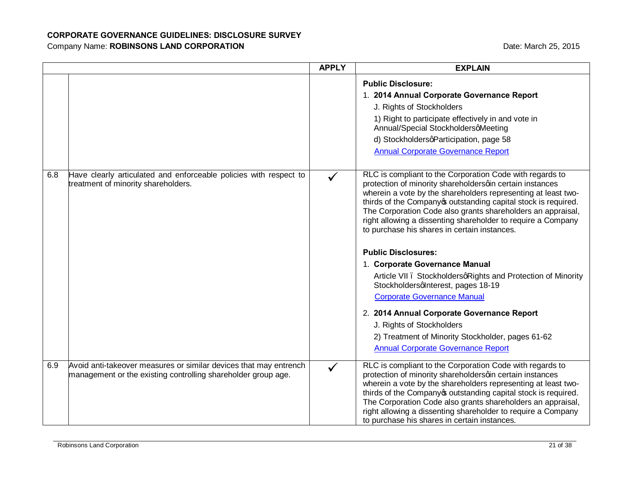|     |                                                                                                                                    | <b>APPLY</b> | <b>EXPLAIN</b>                                                                                                                                                                                                                                                                                                                                                                                                                                                                                                                                                                                                                                                                                                                                                                                                                |
|-----|------------------------------------------------------------------------------------------------------------------------------------|--------------|-------------------------------------------------------------------------------------------------------------------------------------------------------------------------------------------------------------------------------------------------------------------------------------------------------------------------------------------------------------------------------------------------------------------------------------------------------------------------------------------------------------------------------------------------------------------------------------------------------------------------------------------------------------------------------------------------------------------------------------------------------------------------------------------------------------------------------|
|     |                                                                                                                                    |              | <b>Public Disclosure:</b><br>1. 2014 Annual Corporate Governance Report<br>J. Rights of Stockholders<br>1) Right to participate effectively in and vote in<br>Annual/Special StockholdersqMeeting<br>d) StockholdersqParticipation, page 58<br><b>Annual Corporate Governance Report</b>                                                                                                                                                                                                                                                                                                                                                                                                                                                                                                                                      |
| 6.8 | Have clearly articulated and enforceable policies with respect to<br>treatment of minority shareholders.                           |              | RLC is compliant to the Corporation Code with regards to<br>protection of minority shareholdersqin certain instances<br>wherein a vote by the shareholders representing at least two-<br>thirds of the Company outstanding capital stock is required.<br>The Corporation Code also grants shareholders an appraisal,<br>right allowing a dissenting shareholder to require a Company<br>to purchase his shares in certain instances.<br><b>Public Disclosures:</b><br>1. Corporate Governance Manual<br>Article VII . StockholdersqRights and Protection of Minority<br>Stockholdersqlnterest, pages 18-19<br><b>Corporate Governance Manual</b><br>2. 2014 Annual Corporate Governance Report<br>J. Rights of Stockholders<br>2) Treatment of Minority Stockholder, pages 61-62<br><b>Annual Corporate Governance Report</b> |
| 6.9 | Avoid anti-takeover measures or similar devices that may entrench<br>management or the existing controlling shareholder group age. | $\checkmark$ | RLC is compliant to the Corporation Code with regards to<br>protection of minority shareholdersqin certain instances<br>wherein a vote by the shareholders representing at least two-<br>thirds of the Company outstanding capital stock is required.<br>The Corporation Code also grants shareholders an appraisal,<br>right allowing a dissenting shareholder to require a Company<br>to purchase his shares in certain instances.                                                                                                                                                                                                                                                                                                                                                                                          |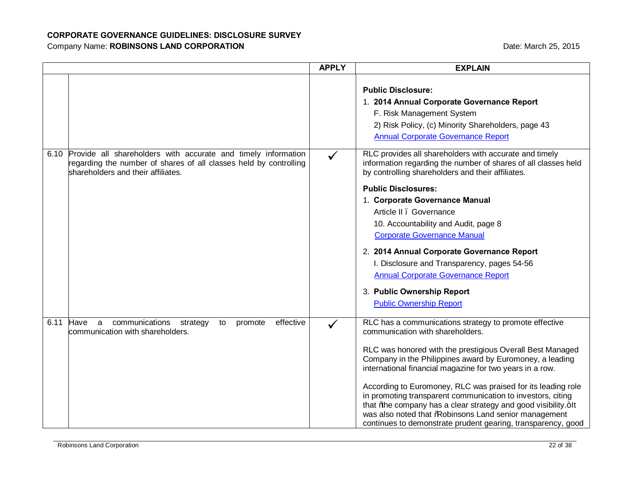|      |                                                                                                                                                                          | <b>APPLY</b> | <b>EXPLAIN</b>                                                                                                                                                                                                                                                                                                                                                                                                                                                                                                                                                                                            |
|------|--------------------------------------------------------------------------------------------------------------------------------------------------------------------------|--------------|-----------------------------------------------------------------------------------------------------------------------------------------------------------------------------------------------------------------------------------------------------------------------------------------------------------------------------------------------------------------------------------------------------------------------------------------------------------------------------------------------------------------------------------------------------------------------------------------------------------|
|      |                                                                                                                                                                          |              | <b>Public Disclosure:</b><br>1. 2014 Annual Corporate Governance Report<br>F. Risk Management System<br>2) Risk Policy, (c) Minority Shareholders, page 43<br><b>Annual Corporate Governance Report</b>                                                                                                                                                                                                                                                                                                                                                                                                   |
| 6.10 | Provide all shareholders with accurate and timely information<br>regarding the number of shares of all classes held by controlling<br>shareholders and their affiliates. | $\checkmark$ | RLC provides all shareholders with accurate and timely<br>information regarding the number of shares of all classes held<br>by controlling shareholders and their affiliates.<br><b>Public Disclosures:</b><br>1. Corporate Governance Manual<br>Article II . Governance<br>10. Accountability and Audit, page 8<br><b>Corporate Governance Manual</b><br>2. 2014 Annual Corporate Governance Report<br>I. Disclosure and Transparency, pages 54-56<br><b>Annual Corporate Governance Report</b><br>3. Public Ownership Report<br><b>Public Ownership Report</b>                                          |
|      | effective<br>6.11 Have<br>communications<br>to<br>promote<br>a<br>strategy<br>communication with shareholders.                                                           |              | RLC has a communications strategy to promote effective<br>communication with shareholders.<br>RLC was honored with the prestigious Overall Best Managed<br>Company in the Philippines award by Euromoney, a leading<br>international financial magazine for two years in a row.<br>According to Euromoney, RLC was praised for its leading role<br>in promoting transparent communication to investors, citing<br>that % be company has a clear strategy and good visibility.+It<br>was also noted that % obinsons Land senior management<br>continues to demonstrate prudent gearing, transparency, good |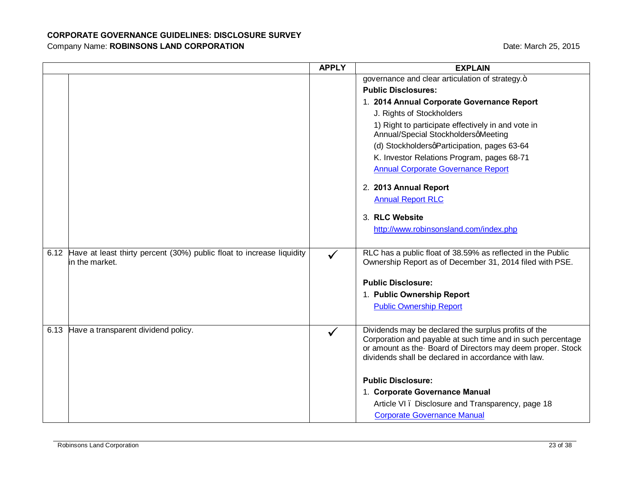|      |                                                                                              | <b>APPLY</b> | <b>EXPLAIN</b>                                                                                                                                                                                                                           |
|------|----------------------------------------------------------------------------------------------|--------------|------------------------------------------------------------------------------------------------------------------------------------------------------------------------------------------------------------------------------------------|
|      |                                                                                              |              | governance and clear articulation of strategy.+                                                                                                                                                                                          |
|      |                                                                                              |              | <b>Public Disclosures:</b>                                                                                                                                                                                                               |
|      |                                                                                              |              | 1. 2014 Annual Corporate Governance Report                                                                                                                                                                                               |
|      |                                                                                              |              | J. Rights of Stockholders                                                                                                                                                                                                                |
|      |                                                                                              |              | 1) Right to participate effectively in and vote in<br>Annual/Special StockholdersqMeeting                                                                                                                                                |
|      |                                                                                              |              | (d) StockholdersqParticipation, pages 63-64                                                                                                                                                                                              |
|      |                                                                                              |              | K. Investor Relations Program, pages 68-71                                                                                                                                                                                               |
|      |                                                                                              |              | <b>Annual Corporate Governance Report</b>                                                                                                                                                                                                |
|      |                                                                                              |              | 2. 2013 Annual Report                                                                                                                                                                                                                    |
|      |                                                                                              |              | <b>Annual Report RLC</b>                                                                                                                                                                                                                 |
|      |                                                                                              |              | 3. RLC Website                                                                                                                                                                                                                           |
|      |                                                                                              |              | http://www.robinsonsland.com/index.php                                                                                                                                                                                                   |
|      |                                                                                              |              |                                                                                                                                                                                                                                          |
|      | 6.12 Have at least thirty percent (30%) public float to increase liquidity<br>in the market. | $\checkmark$ | RLC has a public float of 38.59% as reflected in the Public<br>Ownership Report as of December 31, 2014 filed with PSE.                                                                                                                  |
|      |                                                                                              |              | <b>Public Disclosure:</b>                                                                                                                                                                                                                |
|      |                                                                                              |              | 1. Public Ownership Report                                                                                                                                                                                                               |
|      |                                                                                              |              | <b>Public Ownership Report</b>                                                                                                                                                                                                           |
|      |                                                                                              |              |                                                                                                                                                                                                                                          |
| 6.13 | Have a transparent dividend policy.                                                          | $\checkmark$ | Dividends may be declared the surplus profits of the<br>Corporation and payable at such time and in such percentage<br>or amount as the Board of Directors may deem proper. Stock<br>dividends shall be declared in accordance with law. |
|      |                                                                                              |              | <b>Public Disclosure:</b>                                                                                                                                                                                                                |
|      |                                                                                              |              | 1. Corporate Governance Manual                                                                                                                                                                                                           |
|      |                                                                                              |              | Article VI. Disclosure and Transparency, page 18                                                                                                                                                                                         |
|      |                                                                                              |              | <b>Corporate Governance Manual</b>                                                                                                                                                                                                       |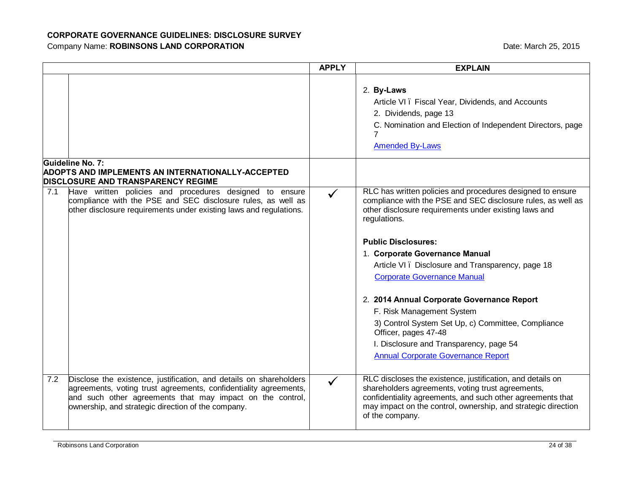|     |                                                                                                                                                                                                                                                           | <b>APPLY</b> | <b>EXPLAIN</b>                                                                                                                                                                                                                                                    |
|-----|-----------------------------------------------------------------------------------------------------------------------------------------------------------------------------------------------------------------------------------------------------------|--------------|-------------------------------------------------------------------------------------------------------------------------------------------------------------------------------------------------------------------------------------------------------------------|
|     |                                                                                                                                                                                                                                                           |              | 2. By-Laws<br>Article VI. Fiscal Year, Dividends, and Accounts<br>2. Dividends, page 13<br>C. Nomination and Election of Independent Directors, page<br>$\overline{7}$<br><b>Amended By-Laws</b>                                                                  |
|     | Guideline No. 7:<br><b>ADOPTS AND IMPLEMENTS AN INTERNATIONALLY-ACCEPTED</b><br><b>DISCLOSURE AND TRANSPARENCY REGIME</b>                                                                                                                                 |              |                                                                                                                                                                                                                                                                   |
| 7.1 | Have written policies and procedures designed to ensure<br>compliance with the PSE and SEC disclosure rules, as well as<br>other disclosure requirements under existing laws and regulations.                                                             | $\checkmark$ | RLC has written policies and procedures designed to ensure<br>compliance with the PSE and SEC disclosure rules, as well as<br>other disclosure requirements under existing laws and<br>regulations.                                                               |
|     |                                                                                                                                                                                                                                                           |              | <b>Public Disclosures:</b>                                                                                                                                                                                                                                        |
|     |                                                                                                                                                                                                                                                           |              | 1. Corporate Governance Manual<br>Article VI. Disclosure and Transparency, page 18<br><b>Corporate Governance Manual</b>                                                                                                                                          |
|     |                                                                                                                                                                                                                                                           |              | 2. 2014 Annual Corporate Governance Report                                                                                                                                                                                                                        |
|     |                                                                                                                                                                                                                                                           |              | F. Risk Management System                                                                                                                                                                                                                                         |
|     |                                                                                                                                                                                                                                                           |              | 3) Control System Set Up, c) Committee, Compliance<br>Officer, pages 47-48                                                                                                                                                                                        |
|     |                                                                                                                                                                                                                                                           |              | I. Disclosure and Transparency, page 54                                                                                                                                                                                                                           |
|     |                                                                                                                                                                                                                                                           |              | <b>Annual Corporate Governance Report</b>                                                                                                                                                                                                                         |
| 7.2 | Disclose the existence, justification, and details on shareholders<br>agreements, voting trust agreements, confidentiality agreements,<br>and such other agreements that may impact on the control,<br>ownership, and strategic direction of the company. | $\checkmark$ | RLC discloses the existence, justification, and details on<br>shareholders agreements, voting trust agreements,<br>confidentiality agreements, and such other agreements that<br>may impact on the control, ownership, and strategic direction<br>of the company. |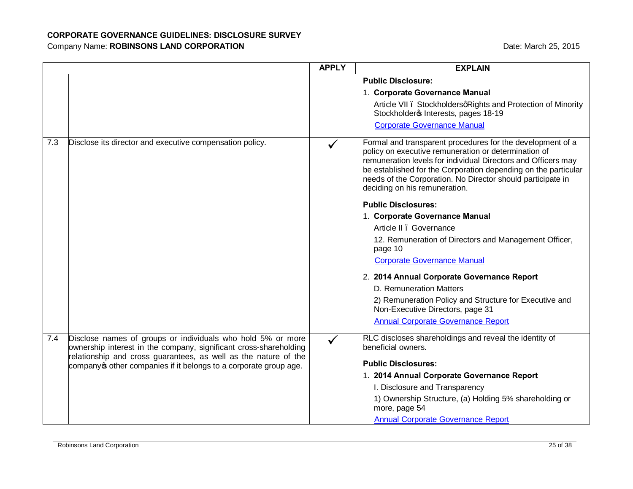|     |                                                                                                                                                                                                     | <b>APPLY</b> | <b>EXPLAIN</b>                                                                                                                                                                                                                                                                                                                                        |
|-----|-----------------------------------------------------------------------------------------------------------------------------------------------------------------------------------------------------|--------------|-------------------------------------------------------------------------------------------------------------------------------------------------------------------------------------------------------------------------------------------------------------------------------------------------------------------------------------------------------|
|     |                                                                                                                                                                                                     |              | <b>Public Disclosure:</b>                                                                                                                                                                                                                                                                                                                             |
|     |                                                                                                                                                                                                     |              | 1. Corporate Governance Manual                                                                                                                                                                                                                                                                                                                        |
|     |                                                                                                                                                                                                     |              | Article VII . StockholdersqRights and Protection of Minority<br>Stockholdero Interests, pages 18-19                                                                                                                                                                                                                                                   |
|     |                                                                                                                                                                                                     |              | <b>Corporate Governance Manual</b>                                                                                                                                                                                                                                                                                                                    |
| 7.3 | Disclose its director and executive compensation policy.                                                                                                                                            |              | Formal and transparent procedures for the development of a<br>policy on executive remuneration or determination of<br>remuneration levels for individual Directors and Officers may<br>be established for the Corporation depending on the particular<br>needs of the Corporation. No Director should participate in<br>deciding on his remuneration. |
|     |                                                                                                                                                                                                     |              | <b>Public Disclosures:</b>                                                                                                                                                                                                                                                                                                                            |
|     |                                                                                                                                                                                                     |              | 1. Corporate Governance Manual                                                                                                                                                                                                                                                                                                                        |
|     |                                                                                                                                                                                                     |              | Article II . Governance                                                                                                                                                                                                                                                                                                                               |
|     |                                                                                                                                                                                                     |              | 12. Remuneration of Directors and Management Officer,<br>page 10                                                                                                                                                                                                                                                                                      |
|     |                                                                                                                                                                                                     |              | <b>Corporate Governance Manual</b>                                                                                                                                                                                                                                                                                                                    |
|     |                                                                                                                                                                                                     |              | 2. 2014 Annual Corporate Governance Report                                                                                                                                                                                                                                                                                                            |
|     |                                                                                                                                                                                                     |              | D. Remuneration Matters                                                                                                                                                                                                                                                                                                                               |
|     |                                                                                                                                                                                                     |              | 2) Remuneration Policy and Structure for Executive and<br>Non-Executive Directors, page 31                                                                                                                                                                                                                                                            |
|     |                                                                                                                                                                                                     |              | <b>Annual Corporate Governance Report</b>                                                                                                                                                                                                                                                                                                             |
| 7.4 | Disclose names of groups or individuals who hold 5% or more<br>ownership interest in the company, significant cross-shareholding<br>relationship and cross guarantees, as well as the nature of the |              | RLC discloses shareholdings and reveal the identity of<br>beneficial owners.                                                                                                                                                                                                                                                                          |
|     | company other companies if it belongs to a corporate group age.                                                                                                                                     |              | <b>Public Disclosures:</b>                                                                                                                                                                                                                                                                                                                            |
|     |                                                                                                                                                                                                     |              | 1. 2014 Annual Corporate Governance Report                                                                                                                                                                                                                                                                                                            |
|     |                                                                                                                                                                                                     |              | I. Disclosure and Transparency                                                                                                                                                                                                                                                                                                                        |
|     |                                                                                                                                                                                                     |              | 1) Ownership Structure, (a) Holding 5% shareholding or<br>more, page 54                                                                                                                                                                                                                                                                               |
|     |                                                                                                                                                                                                     |              | <b>Annual Corporate Governance Report</b>                                                                                                                                                                                                                                                                                                             |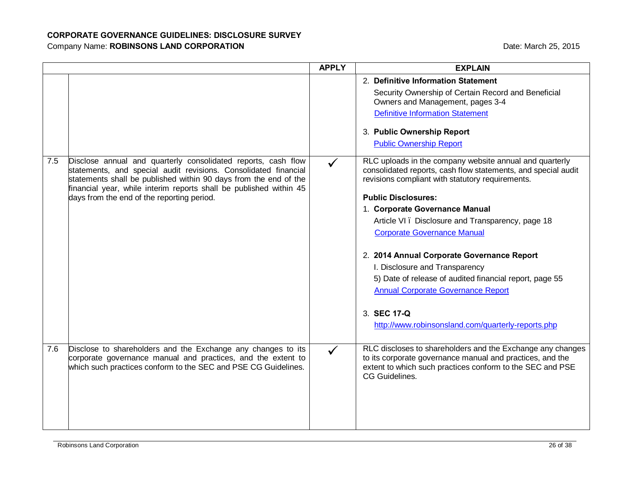|     |                                                                                                                                                                                                      | <b>APPLY</b> | <b>EXPLAIN</b>                                                                                                                                                                                                                                                                                                                                                                                                            |
|-----|------------------------------------------------------------------------------------------------------------------------------------------------------------------------------------------------------|--------------|---------------------------------------------------------------------------------------------------------------------------------------------------------------------------------------------------------------------------------------------------------------------------------------------------------------------------------------------------------------------------------------------------------------------------|
| 7.5 | Disclose annual and quarterly consolidated reports, cash flow<br>statements, and special audit revisions. Consolidated financial<br>statements shall be published within 90 days from the end of the | $\checkmark$ | 2. Definitive Information Statement<br>Security Ownership of Certain Record and Beneficial<br>Owners and Management, pages 3-4<br><b>Definitive Information Statement</b><br>3. Public Ownership Report<br><b>Public Ownership Report</b><br>RLC uploads in the company website annual and quarterly<br>consolidated reports, cash flow statements, and special audit<br>revisions compliant with statutory requirements. |
|     | financial year, while interim reports shall be published within 45<br>days from the end of the reporting period.                                                                                     |              | <b>Public Disclosures:</b><br>1. Corporate Governance Manual<br>Article VI. Disclosure and Transparency, page 18<br><b>Corporate Governance Manual</b><br>2. 2014 Annual Corporate Governance Report<br>I. Disclosure and Transparency<br>5) Date of release of audited financial report, page 55<br><b>Annual Corporate Governance Report</b><br>3. SEC 17-Q<br>http://www.robinsonsland.com/quarterly-reports.php       |
| 7.6 | Disclose to shareholders and the Exchange any changes to its<br>corporate governance manual and practices, and the extent to<br>which such practices conform to the SEC and PSE CG Guidelines.       |              | RLC discloses to shareholders and the Exchange any changes<br>to its corporate governance manual and practices, and the<br>extent to which such practices conform to the SEC and PSE<br>CG Guidelines.                                                                                                                                                                                                                    |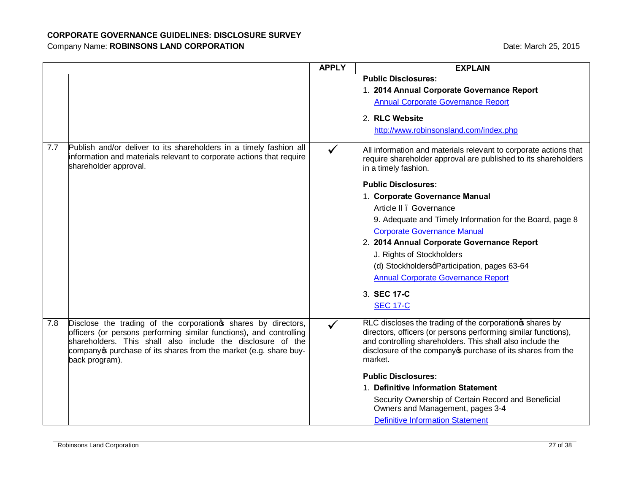|     |                                                                                                                                                                                                                                                                                            | <b>APPLY</b> | <b>EXPLAIN</b>                                                                                                                                                                                                                                                    |
|-----|--------------------------------------------------------------------------------------------------------------------------------------------------------------------------------------------------------------------------------------------------------------------------------------------|--------------|-------------------------------------------------------------------------------------------------------------------------------------------------------------------------------------------------------------------------------------------------------------------|
|     |                                                                                                                                                                                                                                                                                            |              | <b>Public Disclosures:</b>                                                                                                                                                                                                                                        |
|     |                                                                                                                                                                                                                                                                                            |              | 1. 2014 Annual Corporate Governance Report                                                                                                                                                                                                                        |
|     |                                                                                                                                                                                                                                                                                            |              | <b>Annual Corporate Governance Report</b>                                                                                                                                                                                                                         |
|     |                                                                                                                                                                                                                                                                                            |              | 2. RLC Website                                                                                                                                                                                                                                                    |
|     |                                                                                                                                                                                                                                                                                            |              | http://www.robinsonsland.com/index.php                                                                                                                                                                                                                            |
| 7.7 | Publish and/or deliver to its shareholders in a timely fashion all<br>information and materials relevant to corporate actions that require<br>shareholder approval.                                                                                                                        | $\checkmark$ | All information and materials relevant to corporate actions that<br>require shareholder approval are published to its shareholders<br>in a timely fashion.                                                                                                        |
|     |                                                                                                                                                                                                                                                                                            |              | <b>Public Disclosures:</b>                                                                                                                                                                                                                                        |
|     |                                                                                                                                                                                                                                                                                            |              | 1. Corporate Governance Manual                                                                                                                                                                                                                                    |
|     |                                                                                                                                                                                                                                                                                            |              | Article II . Governance                                                                                                                                                                                                                                           |
|     |                                                                                                                                                                                                                                                                                            |              | 9. Adequate and Timely Information for the Board, page 8                                                                                                                                                                                                          |
|     |                                                                                                                                                                                                                                                                                            |              | <b>Corporate Governance Manual</b>                                                                                                                                                                                                                                |
|     |                                                                                                                                                                                                                                                                                            |              | 2. 2014 Annual Corporate Governance Report                                                                                                                                                                                                                        |
|     |                                                                                                                                                                                                                                                                                            |              | J. Rights of Stockholders                                                                                                                                                                                                                                         |
|     |                                                                                                                                                                                                                                                                                            |              | (d) StockholdersqParticipation, pages 63-64                                                                                                                                                                                                                       |
|     |                                                                                                                                                                                                                                                                                            |              | <b>Annual Corporate Governance Report</b>                                                                                                                                                                                                                         |
|     |                                                                                                                                                                                                                                                                                            |              | 3. SEC 17-C                                                                                                                                                                                                                                                       |
|     |                                                                                                                                                                                                                                                                                            |              | <b>SEC 17-C</b>                                                                                                                                                                                                                                                   |
| 7.8 | Disclose the trading of the corporation of shares by directors,<br>officers (or persons performing similar functions), and controlling<br>shareholders. This shall also include the disclosure of the<br>company purchase of its shares from the market (e.g. share buy-<br>back program). | $\checkmark$ | RLC discloses the trading of the corporation of shares by<br>directors, officers (or persons performing similar functions),<br>and controlling shareholders. This shall also include the<br>disclosure of the company opurchase of its shares from the<br>market. |
|     |                                                                                                                                                                                                                                                                                            |              | <b>Public Disclosures:</b>                                                                                                                                                                                                                                        |
|     |                                                                                                                                                                                                                                                                                            |              | 1. Definitive Information Statement                                                                                                                                                                                                                               |
|     |                                                                                                                                                                                                                                                                                            |              | Security Ownership of Certain Record and Beneficial<br>Owners and Management, pages 3-4                                                                                                                                                                           |
|     |                                                                                                                                                                                                                                                                                            |              | <b>Definitive Information Statement</b>                                                                                                                                                                                                                           |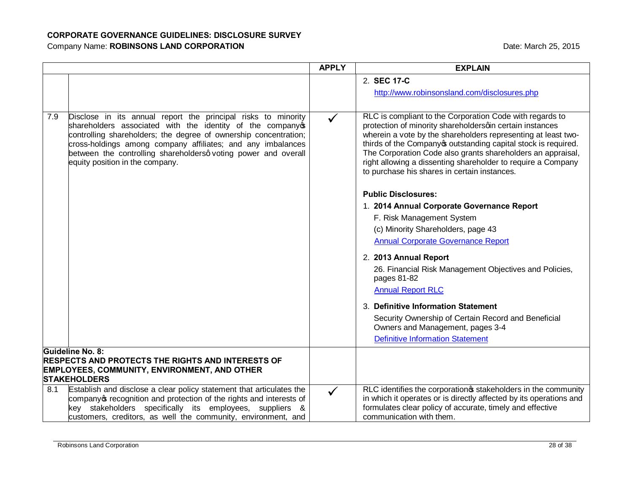|     |                                                                                                                                                                                                                                                                                                                                                                   | <b>APPLY</b> | <b>EXPLAIN</b>                                                                                                                                                                                                                                                                                                                                                                                                                       |
|-----|-------------------------------------------------------------------------------------------------------------------------------------------------------------------------------------------------------------------------------------------------------------------------------------------------------------------------------------------------------------------|--------------|--------------------------------------------------------------------------------------------------------------------------------------------------------------------------------------------------------------------------------------------------------------------------------------------------------------------------------------------------------------------------------------------------------------------------------------|
|     |                                                                                                                                                                                                                                                                                                                                                                   |              | 2. SEC 17-C                                                                                                                                                                                                                                                                                                                                                                                                                          |
|     |                                                                                                                                                                                                                                                                                                                                                                   |              | http://www.robinsonsland.com/disclosures.php                                                                                                                                                                                                                                                                                                                                                                                         |
|     |                                                                                                                                                                                                                                                                                                                                                                   |              |                                                                                                                                                                                                                                                                                                                                                                                                                                      |
| 7.9 | Disclose in its annual report the principal risks to minority<br>shareholders associated with the identity of the company<br>controlling shareholders; the degree of ownership concentration;<br>cross-holdings among company affiliates; and any imbalances<br>between the controlling shareholdersq voting power and overall<br>equity position in the company. | $\checkmark$ | RLC is compliant to the Corporation Code with regards to<br>protection of minority shareholdersqin certain instances<br>wherein a vote by the shareholders representing at least two-<br>thirds of the Company outstanding capital stock is required.<br>The Corporation Code also grants shareholders an appraisal,<br>right allowing a dissenting shareholder to require a Company<br>to purchase his shares in certain instances. |
|     |                                                                                                                                                                                                                                                                                                                                                                   |              | <b>Public Disclosures:</b>                                                                                                                                                                                                                                                                                                                                                                                                           |
|     |                                                                                                                                                                                                                                                                                                                                                                   |              | 1. 2014 Annual Corporate Governance Report                                                                                                                                                                                                                                                                                                                                                                                           |
|     |                                                                                                                                                                                                                                                                                                                                                                   |              | F. Risk Management System                                                                                                                                                                                                                                                                                                                                                                                                            |
|     |                                                                                                                                                                                                                                                                                                                                                                   |              | (c) Minority Shareholders, page 43                                                                                                                                                                                                                                                                                                                                                                                                   |
|     |                                                                                                                                                                                                                                                                                                                                                                   |              | <b>Annual Corporate Governance Report</b>                                                                                                                                                                                                                                                                                                                                                                                            |
|     |                                                                                                                                                                                                                                                                                                                                                                   |              | 2. 2013 Annual Report                                                                                                                                                                                                                                                                                                                                                                                                                |
|     |                                                                                                                                                                                                                                                                                                                                                                   |              | 26. Financial Risk Management Objectives and Policies,<br>pages 81-82                                                                                                                                                                                                                                                                                                                                                                |
|     |                                                                                                                                                                                                                                                                                                                                                                   |              | <b>Annual Report RLC</b>                                                                                                                                                                                                                                                                                                                                                                                                             |
|     |                                                                                                                                                                                                                                                                                                                                                                   |              | 3. Definitive Information Statement                                                                                                                                                                                                                                                                                                                                                                                                  |
|     |                                                                                                                                                                                                                                                                                                                                                                   |              | Security Ownership of Certain Record and Beneficial<br>Owners and Management, pages 3-4                                                                                                                                                                                                                                                                                                                                              |
|     |                                                                                                                                                                                                                                                                                                                                                                   |              | <b>Definitive Information Statement</b>                                                                                                                                                                                                                                                                                                                                                                                              |
|     | Guideline No. 8:<br><b>RESPECTS AND PROTECTS THE RIGHTS AND INTERESTS OF</b><br>EMPLOYEES, COMMUNITY, ENVIRONMENT, AND OTHER<br><b>STAKEHOLDERS</b>                                                                                                                                                                                                               |              |                                                                                                                                                                                                                                                                                                                                                                                                                                      |
| 8.1 | Establish and disclose a clear policy statement that articulates the<br>company of recognition and protection of the rights and interests of<br>key stakeholders specifically its employees, suppliers &<br>customers, creditors, as well the community, environment, and                                                                                         | $\checkmark$ | RLC identifies the corporation of stakeholders in the community<br>in which it operates or is directly affected by its operations and<br>formulates clear policy of accurate, timely and effective<br>communication with them.                                                                                                                                                                                                       |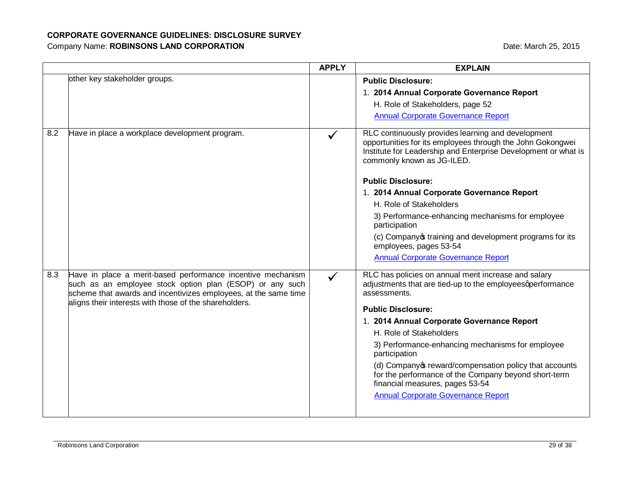|     |                                                                                                                                                                                                                                                      | <b>APPLY</b> | <b>EXPLAIN</b>                                                                                                                                                                                                   |
|-----|------------------------------------------------------------------------------------------------------------------------------------------------------------------------------------------------------------------------------------------------------|--------------|------------------------------------------------------------------------------------------------------------------------------------------------------------------------------------------------------------------|
|     | other key stakeholder groups.                                                                                                                                                                                                                        |              | <b>Public Disclosure:</b>                                                                                                                                                                                        |
|     |                                                                                                                                                                                                                                                      |              | 1. 2014 Annual Corporate Governance Report                                                                                                                                                                       |
|     |                                                                                                                                                                                                                                                      |              | H. Role of Stakeholders, page 52                                                                                                                                                                                 |
|     |                                                                                                                                                                                                                                                      |              | <b>Annual Corporate Governance Report</b>                                                                                                                                                                        |
| 8.2 | Have in place a workplace development program.                                                                                                                                                                                                       |              | RLC continuously provides learning and development<br>opportunities for its employees through the John Gokongwei<br>Institute for Leadership and Enterprise Development or what is<br>commonly known as JG-ILED. |
|     |                                                                                                                                                                                                                                                      |              | <b>Public Disclosure:</b>                                                                                                                                                                                        |
|     |                                                                                                                                                                                                                                                      |              | 1. 2014 Annual Corporate Governance Report                                                                                                                                                                       |
|     |                                                                                                                                                                                                                                                      |              | H. Role of Stakeholders                                                                                                                                                                                          |
|     |                                                                                                                                                                                                                                                      |              | 3) Performance-enhancing mechanisms for employee<br>participation                                                                                                                                                |
|     |                                                                                                                                                                                                                                                      |              | (c) Companyos training and development programs for its<br>employees, pages 53-54                                                                                                                                |
|     |                                                                                                                                                                                                                                                      |              | <b>Annual Corporate Governance Report</b>                                                                                                                                                                        |
| 8.3 | Have in place a merit-based performance incentive mechanism<br>such as an employee stock option plan (ESOP) or any such<br>scheme that awards and incentivizes employees, at the same time<br>aligns their interests with those of the shareholders. |              | RLC has policies on annual merit increase and salary<br>adjustments that are tied-up to the employeesqperformance<br>assessments.                                                                                |
|     |                                                                                                                                                                                                                                                      |              | <b>Public Disclosure:</b>                                                                                                                                                                                        |
|     |                                                                                                                                                                                                                                                      |              | 1. 2014 Annual Corporate Governance Report                                                                                                                                                                       |
|     |                                                                                                                                                                                                                                                      |              | H. Role of Stakeholders                                                                                                                                                                                          |
|     |                                                                                                                                                                                                                                                      |              | 3) Performance-enhancing mechanisms for employee<br>participation                                                                                                                                                |
|     |                                                                                                                                                                                                                                                      |              | (d) Company of reward/compensation policy that accounts<br>for the performance of the Company beyond short-term<br>financial measures, pages 53-54                                                               |
|     |                                                                                                                                                                                                                                                      |              | <b>Annual Corporate Governance Report</b>                                                                                                                                                                        |
|     |                                                                                                                                                                                                                                                      |              |                                                                                                                                                                                                                  |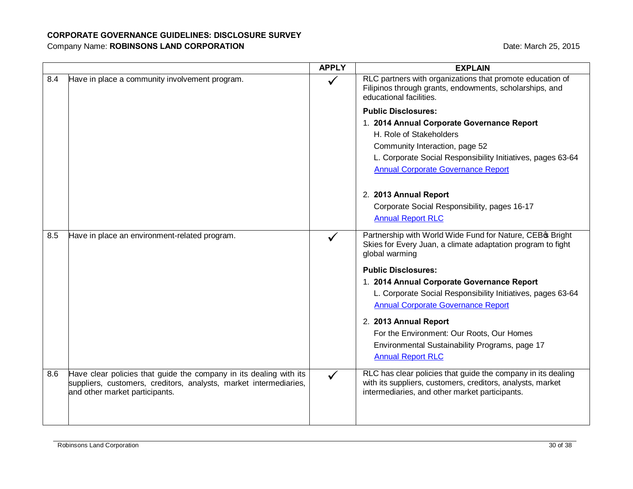|     |                                                                                                                                                                           | <b>APPLY</b> | <b>EXPLAIN</b>                                                                                                                                                               |
|-----|---------------------------------------------------------------------------------------------------------------------------------------------------------------------------|--------------|------------------------------------------------------------------------------------------------------------------------------------------------------------------------------|
| 8.4 | Have in place a community involvement program.                                                                                                                            |              | RLC partners with organizations that promote education of<br>Filipinos through grants, endowments, scholarships, and<br>educational facilities.                              |
|     |                                                                                                                                                                           |              | <b>Public Disclosures:</b>                                                                                                                                                   |
|     |                                                                                                                                                                           |              | 1. 2014 Annual Corporate Governance Report                                                                                                                                   |
|     |                                                                                                                                                                           |              | H. Role of Stakeholders                                                                                                                                                      |
|     |                                                                                                                                                                           |              | Community Interaction, page 52                                                                                                                                               |
|     |                                                                                                                                                                           |              | L. Corporate Social Responsibility Initiatives, pages 63-64                                                                                                                  |
|     |                                                                                                                                                                           |              | <b>Annual Corporate Governance Report</b>                                                                                                                                    |
|     |                                                                                                                                                                           |              | 2. 2013 Annual Report                                                                                                                                                        |
|     |                                                                                                                                                                           |              | Corporate Social Responsibility, pages 16-17                                                                                                                                 |
|     |                                                                                                                                                                           |              | <b>Annual Report RLC</b>                                                                                                                                                     |
| 8.5 | Have in place an environment-related program.                                                                                                                             |              | Partnership with World Wide Fund for Nature, CEB & Bright<br>Skies for Every Juan, a climate adaptation program to fight<br>global warming                                   |
|     |                                                                                                                                                                           |              | <b>Public Disclosures:</b>                                                                                                                                                   |
|     |                                                                                                                                                                           |              | 1. 2014 Annual Corporate Governance Report                                                                                                                                   |
|     |                                                                                                                                                                           |              | L. Corporate Social Responsibility Initiatives, pages 63-64                                                                                                                  |
|     |                                                                                                                                                                           |              | <b>Annual Corporate Governance Report</b>                                                                                                                                    |
|     |                                                                                                                                                                           |              | 2. 2013 Annual Report                                                                                                                                                        |
|     |                                                                                                                                                                           |              | For the Environment: Our Roots, Our Homes                                                                                                                                    |
|     |                                                                                                                                                                           |              | Environmental Sustainability Programs, page 17                                                                                                                               |
|     |                                                                                                                                                                           |              | <b>Annual Report RLC</b>                                                                                                                                                     |
| 8.6 | Have clear policies that guide the company in its dealing with its<br>suppliers, customers, creditors, analysts, market intermediaries,<br>and other market participants. | $\checkmark$ | RLC has clear policies that guide the company in its dealing<br>with its suppliers, customers, creditors, analysts, market<br>intermediaries, and other market participants. |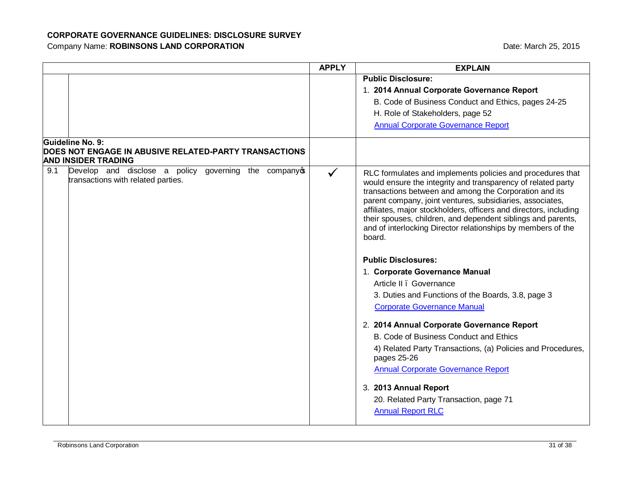|     |                                                                                           | <b>APPLY</b> | <b>EXPLAIN</b>                                                                                                                                                                                                                                                                                                                                                                                                                                                   |
|-----|-------------------------------------------------------------------------------------------|--------------|------------------------------------------------------------------------------------------------------------------------------------------------------------------------------------------------------------------------------------------------------------------------------------------------------------------------------------------------------------------------------------------------------------------------------------------------------------------|
|     |                                                                                           |              | <b>Public Disclosure:</b>                                                                                                                                                                                                                                                                                                                                                                                                                                        |
|     |                                                                                           |              | 1. 2014 Annual Corporate Governance Report                                                                                                                                                                                                                                                                                                                                                                                                                       |
|     |                                                                                           |              | B. Code of Business Conduct and Ethics, pages 24-25                                                                                                                                                                                                                                                                                                                                                                                                              |
|     |                                                                                           |              | H. Role of Stakeholders, page 52                                                                                                                                                                                                                                                                                                                                                                                                                                 |
|     |                                                                                           |              | <b>Annual Corporate Governance Report</b>                                                                                                                                                                                                                                                                                                                                                                                                                        |
|     | Guideline No. 9:                                                                          |              |                                                                                                                                                                                                                                                                                                                                                                                                                                                                  |
|     | DOES NOT ENGAGE IN ABUSIVE RELATED-PARTY TRANSACTIONS<br><b>AND INSIDER TRADING</b>       |              |                                                                                                                                                                                                                                                                                                                                                                                                                                                                  |
| 9.1 | Develop and disclose a policy governing the company<br>transactions with related parties. | $\checkmark$ | RLC formulates and implements policies and procedures that<br>would ensure the integrity and transparency of related party<br>transactions between and among the Corporation and its<br>parent company, joint ventures, subsidiaries, associates,<br>affiliates, major stockholders, officers and directors, including<br>their spouses, children, and dependent siblings and parents,<br>and of interlocking Director relationships by members of the<br>board. |
|     |                                                                                           |              | <b>Public Disclosures:</b>                                                                                                                                                                                                                                                                                                                                                                                                                                       |
|     |                                                                                           |              | 1. Corporate Governance Manual                                                                                                                                                                                                                                                                                                                                                                                                                                   |
|     |                                                                                           |              | Article II . Governance                                                                                                                                                                                                                                                                                                                                                                                                                                          |
|     |                                                                                           |              | 3. Duties and Functions of the Boards, 3.8, page 3                                                                                                                                                                                                                                                                                                                                                                                                               |
|     |                                                                                           |              | <b>Corporate Governance Manual</b>                                                                                                                                                                                                                                                                                                                                                                                                                               |
|     |                                                                                           |              | 2. 2014 Annual Corporate Governance Report                                                                                                                                                                                                                                                                                                                                                                                                                       |
|     |                                                                                           |              | B. Code of Business Conduct and Ethics                                                                                                                                                                                                                                                                                                                                                                                                                           |
|     |                                                                                           |              | 4) Related Party Transactions, (a) Policies and Procedures,<br>pages 25-26                                                                                                                                                                                                                                                                                                                                                                                       |
|     |                                                                                           |              | <b>Annual Corporate Governance Report</b>                                                                                                                                                                                                                                                                                                                                                                                                                        |
|     |                                                                                           |              | 3. 2013 Annual Report                                                                                                                                                                                                                                                                                                                                                                                                                                            |
|     |                                                                                           |              | 20. Related Party Transaction, page 71                                                                                                                                                                                                                                                                                                                                                                                                                           |
|     |                                                                                           |              | <b>Annual Report RLC</b>                                                                                                                                                                                                                                                                                                                                                                                                                                         |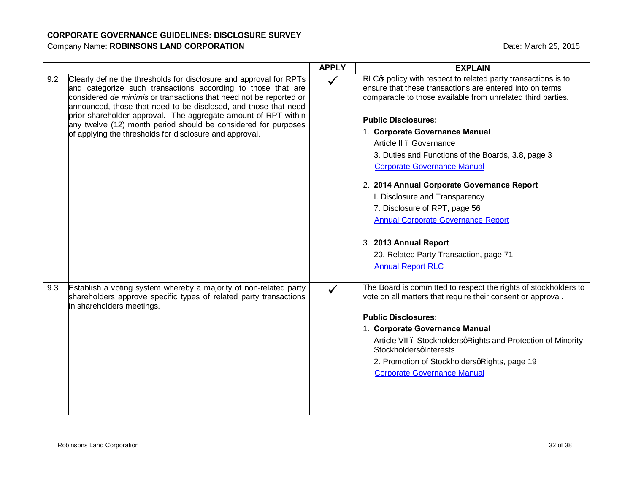|     |                                                                                                                                                                                                                                                                                                                                                                                                                                                                            | <b>APPLY</b> | <b>EXPLAIN</b>                                                                                                                                                                                                                                                                                                                                                                                                                                                                                                                                                                    |
|-----|----------------------------------------------------------------------------------------------------------------------------------------------------------------------------------------------------------------------------------------------------------------------------------------------------------------------------------------------------------------------------------------------------------------------------------------------------------------------------|--------------|-----------------------------------------------------------------------------------------------------------------------------------------------------------------------------------------------------------------------------------------------------------------------------------------------------------------------------------------------------------------------------------------------------------------------------------------------------------------------------------------------------------------------------------------------------------------------------------|
| 9.2 | Clearly define the thresholds for disclosure and approval for RPTs<br>and categorize such transactions according to those that are<br>considered de minimis or transactions that need not be reported or<br>announced, those that need to be disclosed, and those that need<br>prior shareholder approval. The aggregate amount of RPT within<br>any twelve (12) month period should be considered for purposes<br>of applying the thresholds for disclosure and approval. | $\checkmark$ | RLC <sub>C</sub> policy with respect to related party transactions is to<br>ensure that these transactions are entered into on terms<br>comparable to those available from unrelated third parties.<br><b>Public Disclosures:</b><br>1. Corporate Governance Manual<br>Article II . Governance<br>3. Duties and Functions of the Boards, 3.8, page 3<br><b>Corporate Governance Manual</b><br>2. 2014 Annual Corporate Governance Report<br>I. Disclosure and Transparency<br>7. Disclosure of RPT, page 56<br><b>Annual Corporate Governance Report</b><br>3. 2013 Annual Report |
|     |                                                                                                                                                                                                                                                                                                                                                                                                                                                                            |              | 20. Related Party Transaction, page 71<br><b>Annual Report RLC</b>                                                                                                                                                                                                                                                                                                                                                                                                                                                                                                                |
|     |                                                                                                                                                                                                                                                                                                                                                                                                                                                                            |              |                                                                                                                                                                                                                                                                                                                                                                                                                                                                                                                                                                                   |
| 9.3 | Establish a voting system whereby a majority of non-related party<br>shareholders approve specific types of related party transactions<br>in shareholders meetings.                                                                                                                                                                                                                                                                                                        |              | The Board is committed to respect the rights of stockholders to<br>vote on all matters that require their consent or approval.                                                                                                                                                                                                                                                                                                                                                                                                                                                    |
|     |                                                                                                                                                                                                                                                                                                                                                                                                                                                                            |              | <b>Public Disclosures:</b>                                                                                                                                                                                                                                                                                                                                                                                                                                                                                                                                                        |
|     |                                                                                                                                                                                                                                                                                                                                                                                                                                                                            |              | 1. Corporate Governance Manual                                                                                                                                                                                                                                                                                                                                                                                                                                                                                                                                                    |
|     |                                                                                                                                                                                                                                                                                                                                                                                                                                                                            |              | Article VII . StockholdersqRights and Protection of Minority<br>StockholdersqInterests                                                                                                                                                                                                                                                                                                                                                                                                                                                                                            |
|     |                                                                                                                                                                                                                                                                                                                                                                                                                                                                            |              | 2. Promotion of StockholdersqRights, page 19                                                                                                                                                                                                                                                                                                                                                                                                                                                                                                                                      |
|     |                                                                                                                                                                                                                                                                                                                                                                                                                                                                            |              | <b>Corporate Governance Manual</b>                                                                                                                                                                                                                                                                                                                                                                                                                                                                                                                                                |
|     |                                                                                                                                                                                                                                                                                                                                                                                                                                                                            |              |                                                                                                                                                                                                                                                                                                                                                                                                                                                                                                                                                                                   |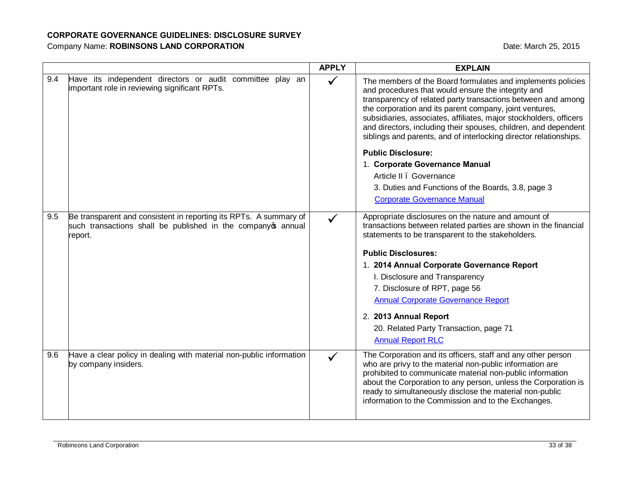|     |                                                                                                                                               | <b>APPLY</b> | <b>EXPLAIN</b>                                                                                                                                                                                                                                                                                                                                                                                                                                             |
|-----|-----------------------------------------------------------------------------------------------------------------------------------------------|--------------|------------------------------------------------------------------------------------------------------------------------------------------------------------------------------------------------------------------------------------------------------------------------------------------------------------------------------------------------------------------------------------------------------------------------------------------------------------|
| 9.4 | Have its independent directors or audit committee play an<br>important role in reviewing significant RPTs.                                    | $\checkmark$ | The members of the Board formulates and implements policies<br>and procedures that would ensure the integrity and<br>transparency of related party transactions between and among<br>the corporation and its parent company, joint ventures,<br>subsidiaries, associates, affiliates, major stockholders, officers<br>and directors, including their spouses, children, and dependent<br>siblings and parents, and of interlocking director relationships. |
|     |                                                                                                                                               |              | <b>Public Disclosure:</b>                                                                                                                                                                                                                                                                                                                                                                                                                                  |
|     |                                                                                                                                               |              | 1. Corporate Governance Manual                                                                                                                                                                                                                                                                                                                                                                                                                             |
|     |                                                                                                                                               |              | Article II . Governance                                                                                                                                                                                                                                                                                                                                                                                                                                    |
|     |                                                                                                                                               |              | 3. Duties and Functions of the Boards, 3.8, page 3                                                                                                                                                                                                                                                                                                                                                                                                         |
|     |                                                                                                                                               |              | <b>Corporate Governance Manual</b>                                                                                                                                                                                                                                                                                                                                                                                                                         |
| 9.5 | Be transparent and consistent in reporting its RPTs. A summary of<br>such transactions shall be published in the company op annual<br>report. | $\checkmark$ | Appropriate disclosures on the nature and amount of<br>transactions between related parties are shown in the financial<br>statements to be transparent to the stakeholders.                                                                                                                                                                                                                                                                                |
|     |                                                                                                                                               |              | <b>Public Disclosures:</b>                                                                                                                                                                                                                                                                                                                                                                                                                                 |
|     |                                                                                                                                               |              | 1. 2014 Annual Corporate Governance Report                                                                                                                                                                                                                                                                                                                                                                                                                 |
|     |                                                                                                                                               |              | I. Disclosure and Transparency                                                                                                                                                                                                                                                                                                                                                                                                                             |
|     |                                                                                                                                               |              | 7. Disclosure of RPT, page 56                                                                                                                                                                                                                                                                                                                                                                                                                              |
|     |                                                                                                                                               |              | <b>Annual Corporate Governance Report</b>                                                                                                                                                                                                                                                                                                                                                                                                                  |
|     |                                                                                                                                               |              | 2. 2013 Annual Report                                                                                                                                                                                                                                                                                                                                                                                                                                      |
|     |                                                                                                                                               |              | 20. Related Party Transaction, page 71<br><b>Annual Report RLC</b>                                                                                                                                                                                                                                                                                                                                                                                         |
| 9.6 | Have a clear policy in dealing with material non-public information<br>by company insiders.                                                   |              | The Corporation and its officers, staff and any other person<br>who are privy to the material non-public information are<br>prohibited to communicate material non-public information<br>about the Corporation to any person, unless the Corporation is<br>ready to simultaneously disclose the material non-public<br>information to the Commission and to the Exchanges.                                                                                 |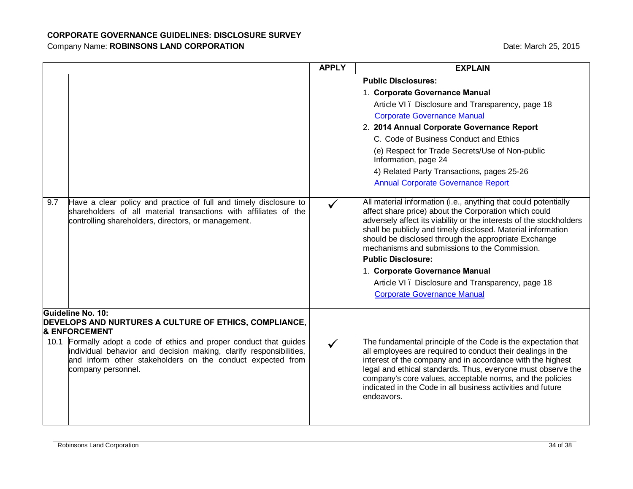|     |                                                                                                                                                                                                                               | <b>APPLY</b> | <b>EXPLAIN</b>                                                                                                                                                                                                                                                                                                                                                                                                                                                                                                                    |
|-----|-------------------------------------------------------------------------------------------------------------------------------------------------------------------------------------------------------------------------------|--------------|-----------------------------------------------------------------------------------------------------------------------------------------------------------------------------------------------------------------------------------------------------------------------------------------------------------------------------------------------------------------------------------------------------------------------------------------------------------------------------------------------------------------------------------|
|     |                                                                                                                                                                                                                               |              | <b>Public Disclosures:</b>                                                                                                                                                                                                                                                                                                                                                                                                                                                                                                        |
|     |                                                                                                                                                                                                                               |              | 1. Corporate Governance Manual                                                                                                                                                                                                                                                                                                                                                                                                                                                                                                    |
|     |                                                                                                                                                                                                                               |              | Article VI. Disclosure and Transparency, page 18                                                                                                                                                                                                                                                                                                                                                                                                                                                                                  |
|     |                                                                                                                                                                                                                               |              | <b>Corporate Governance Manual</b>                                                                                                                                                                                                                                                                                                                                                                                                                                                                                                |
|     |                                                                                                                                                                                                                               |              | 2. 2014 Annual Corporate Governance Report                                                                                                                                                                                                                                                                                                                                                                                                                                                                                        |
|     |                                                                                                                                                                                                                               |              | C. Code of Business Conduct and Ethics                                                                                                                                                                                                                                                                                                                                                                                                                                                                                            |
|     |                                                                                                                                                                                                                               |              | (e) Respect for Trade Secrets/Use of Non-public<br>Information, page 24                                                                                                                                                                                                                                                                                                                                                                                                                                                           |
|     |                                                                                                                                                                                                                               |              | 4) Related Party Transactions, pages 25-26                                                                                                                                                                                                                                                                                                                                                                                                                                                                                        |
|     |                                                                                                                                                                                                                               |              | <b>Annual Corporate Governance Report</b>                                                                                                                                                                                                                                                                                                                                                                                                                                                                                         |
| 9.7 | Have a clear policy and practice of full and timely disclosure to<br>shareholders of all material transactions with affiliates of the<br>controlling shareholders, directors, or management.                                  |              | All material information (i.e., anything that could potentially<br>affect share price) about the Corporation which could<br>adversely affect its viability or the interests of the stockholders<br>shall be publicly and timely disclosed. Material information<br>should be disclosed through the appropriate Exchange<br>mechanisms and submissions to the Commission.<br><b>Public Disclosure:</b><br>1. Corporate Governance Manual<br>Article VI. Disclosure and Transparency, page 18<br><b>Corporate Governance Manual</b> |
|     | Guideline No. 10:<br>DEVELOPS AND NURTURES A CULTURE OF ETHICS, COMPLIANCE,<br><b>&amp; ENFORCEMENT</b>                                                                                                                       |              |                                                                                                                                                                                                                                                                                                                                                                                                                                                                                                                                   |
|     | 10.1 Formally adopt a code of ethics and proper conduct that guides<br>individual behavior and decision making, clarify responsibilities,<br>and inform other stakeholders on the conduct expected from<br>company personnel. | $\checkmark$ | The fundamental principle of the Code is the expectation that<br>all employees are required to conduct their dealings in the<br>interest of the company and in accordance with the highest<br>legal and ethical standards. Thus, everyone must observe the<br>company's core values, acceptable norms, and the policies<br>indicated in the Code in all business activities and future<br>endeavors.                                                                                                                              |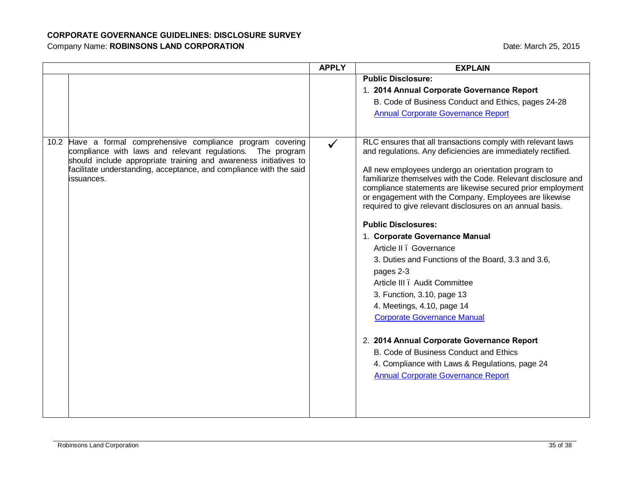|                                                                                                                                                                                                                                                                                    | <b>APPLY</b> | <b>EXPLAIN</b>                                                                                                                                                                                                                                                                                                                                                                                                                                                                                                                                                                                                                                                                                                                                                                                                                                                                                                                    |
|------------------------------------------------------------------------------------------------------------------------------------------------------------------------------------------------------------------------------------------------------------------------------------|--------------|-----------------------------------------------------------------------------------------------------------------------------------------------------------------------------------------------------------------------------------------------------------------------------------------------------------------------------------------------------------------------------------------------------------------------------------------------------------------------------------------------------------------------------------------------------------------------------------------------------------------------------------------------------------------------------------------------------------------------------------------------------------------------------------------------------------------------------------------------------------------------------------------------------------------------------------|
|                                                                                                                                                                                                                                                                                    |              | <b>Public Disclosure:</b>                                                                                                                                                                                                                                                                                                                                                                                                                                                                                                                                                                                                                                                                                                                                                                                                                                                                                                         |
|                                                                                                                                                                                                                                                                                    |              | 1. 2014 Annual Corporate Governance Report                                                                                                                                                                                                                                                                                                                                                                                                                                                                                                                                                                                                                                                                                                                                                                                                                                                                                        |
|                                                                                                                                                                                                                                                                                    |              | B. Code of Business Conduct and Ethics, pages 24-28                                                                                                                                                                                                                                                                                                                                                                                                                                                                                                                                                                                                                                                                                                                                                                                                                                                                               |
|                                                                                                                                                                                                                                                                                    |              | <b>Annual Corporate Governance Report</b>                                                                                                                                                                                                                                                                                                                                                                                                                                                                                                                                                                                                                                                                                                                                                                                                                                                                                         |
|                                                                                                                                                                                                                                                                                    |              |                                                                                                                                                                                                                                                                                                                                                                                                                                                                                                                                                                                                                                                                                                                                                                                                                                                                                                                                   |
| 10.2 Have a formal comprehensive compliance program covering<br>compliance with laws and relevant regulations. The program<br>should include appropriate training and awareness initiatives to<br>facilitate understanding, acceptance, and compliance with the said<br>issuances. |              | RLC ensures that all transactions comply with relevant laws<br>and regulations. Any deficiencies are immediately rectified.<br>All new employees undergo an orientation program to<br>familiarize themselves with the Code. Relevant disclosure and<br>compliance statements are likewise secured prior employment<br>or engagement with the Company. Employees are likewise<br>required to give relevant disclosures on an annual basis.<br><b>Public Disclosures:</b><br>1. Corporate Governance Manual<br>Article II . Governance<br>3. Duties and Functions of the Board, 3.3 and 3.6,<br>pages 2-3<br>Article III . Audit Committee<br>3. Function, 3.10, page 13<br>4. Meetings, 4.10, page 14<br><b>Corporate Governance Manual</b><br>2. 2014 Annual Corporate Governance Report<br>B. Code of Business Conduct and Ethics<br>4. Compliance with Laws & Regulations, page 24<br><b>Annual Corporate Governance Report</b> |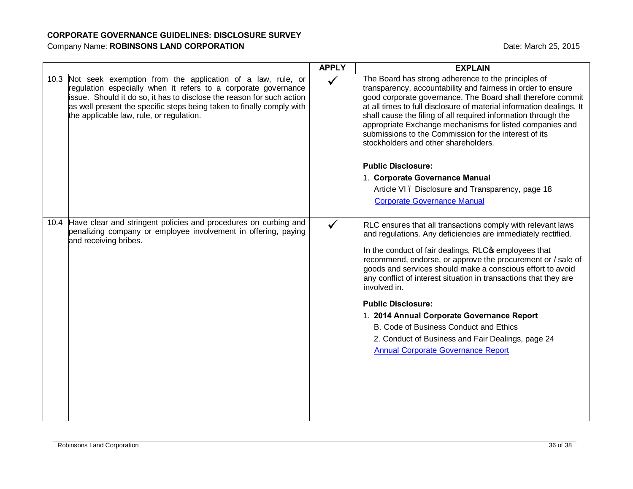|                                                                                                                                                                                                                                                                                                                                 | <b>APPLY</b> | <b>EXPLAIN</b>                                                                                                                                                                                                                                                                                                                                                                                                                                                                            |
|---------------------------------------------------------------------------------------------------------------------------------------------------------------------------------------------------------------------------------------------------------------------------------------------------------------------------------|--------------|-------------------------------------------------------------------------------------------------------------------------------------------------------------------------------------------------------------------------------------------------------------------------------------------------------------------------------------------------------------------------------------------------------------------------------------------------------------------------------------------|
| 10.3 Not seek exemption from the application of a law, rule, or<br>regulation especially when it refers to a corporate governance<br>issue. Should it do so, it has to disclose the reason for such action<br>as well present the specific steps being taken to finally comply with<br>the applicable law, rule, or regulation. | $\checkmark$ | The Board has strong adherence to the principles of<br>transparency, accountability and fairness in order to ensure<br>good corporate governance. The Board shall therefore commit<br>at all times to full disclosure of material information dealings. It<br>shall cause the filing of all required information through the<br>appropriate Exchange mechanisms for listed companies and<br>submissions to the Commission for the interest of its<br>stockholders and other shareholders. |
|                                                                                                                                                                                                                                                                                                                                 |              | <b>Public Disclosure:</b>                                                                                                                                                                                                                                                                                                                                                                                                                                                                 |
|                                                                                                                                                                                                                                                                                                                                 |              | 1. Corporate Governance Manual                                                                                                                                                                                                                                                                                                                                                                                                                                                            |
|                                                                                                                                                                                                                                                                                                                                 |              | Article VI. Disclosure and Transparency, page 18<br><b>Corporate Governance Manual</b>                                                                                                                                                                                                                                                                                                                                                                                                    |
| 10.4 Have clear and stringent policies and procedures on curbing and<br>penalizing company or employee involvement in offering, paying<br>and receiving bribes.                                                                                                                                                                 | $\checkmark$ | RLC ensures that all transactions comply with relevant laws<br>and regulations. Any deficiencies are immediately rectified.                                                                                                                                                                                                                                                                                                                                                               |
|                                                                                                                                                                                                                                                                                                                                 |              | In the conduct of fair dealings, RLC <sub>S</sub> employees that<br>recommend, endorse, or approve the procurement or / sale of<br>goods and services should make a conscious effort to avoid<br>any conflict of interest situation in transactions that they are<br>involved in.                                                                                                                                                                                                         |
|                                                                                                                                                                                                                                                                                                                                 |              | <b>Public Disclosure:</b>                                                                                                                                                                                                                                                                                                                                                                                                                                                                 |
|                                                                                                                                                                                                                                                                                                                                 |              | 1. 2014 Annual Corporate Governance Report                                                                                                                                                                                                                                                                                                                                                                                                                                                |
|                                                                                                                                                                                                                                                                                                                                 |              | B. Code of Business Conduct and Ethics<br>2. Conduct of Business and Fair Dealings, page 24<br><b>Annual Corporate Governance Report</b>                                                                                                                                                                                                                                                                                                                                                  |
|                                                                                                                                                                                                                                                                                                                                 |              |                                                                                                                                                                                                                                                                                                                                                                                                                                                                                           |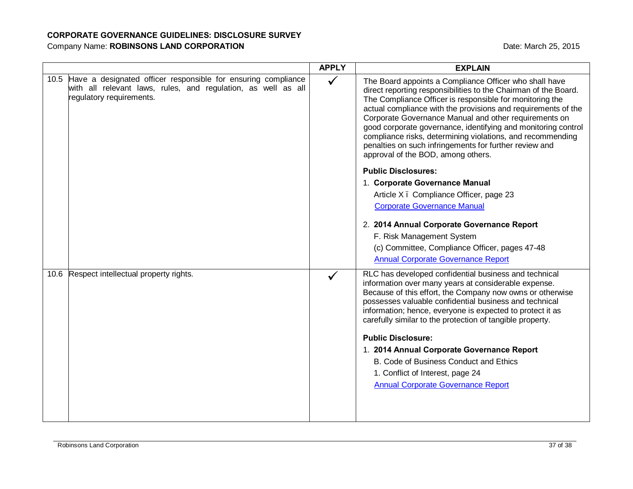|                                                                                                                                                                 | <b>APPLY</b> | <b>EXPLAIN</b>                                                                                                                                                                                                                                                                                                                                                                                                                                                                                                                                                                                                                                                                                                                                                                                                              |
|-----------------------------------------------------------------------------------------------------------------------------------------------------------------|--------------|-----------------------------------------------------------------------------------------------------------------------------------------------------------------------------------------------------------------------------------------------------------------------------------------------------------------------------------------------------------------------------------------------------------------------------------------------------------------------------------------------------------------------------------------------------------------------------------------------------------------------------------------------------------------------------------------------------------------------------------------------------------------------------------------------------------------------------|
| 10.5 Have a designated officer responsible for ensuring compliance<br>with all relevant laws, rules, and regulation, as well as all<br>regulatory requirements. | $\checkmark$ | The Board appoints a Compliance Officer who shall have<br>direct reporting responsibilities to the Chairman of the Board.<br>The Compliance Officer is responsible for monitoring the<br>actual compliance with the provisions and requirements of the<br>Corporate Governance Manual and other requirements on<br>good corporate governance, identifying and monitoring control<br>compliance risks, determining violations, and recommending<br>penalties on such infringements for further review and<br>approval of the BOD, among others.<br><b>Public Disclosures:</b><br>1. Corporate Governance Manual<br>Article X. Compliance Officer, page 23<br><b>Corporate Governance Manual</b><br>2. 2014 Annual Corporate Governance Report<br>F. Risk Management System<br>(c) Committee, Compliance Officer, pages 47-48 |
|                                                                                                                                                                 |              | <b>Annual Corporate Governance Report</b>                                                                                                                                                                                                                                                                                                                                                                                                                                                                                                                                                                                                                                                                                                                                                                                   |
| Respect intellectual property rights.<br>10.6                                                                                                                   |              | RLC has developed confidential business and technical<br>information over many years at considerable expense.<br>Because of this effort, the Company now owns or otherwise<br>possesses valuable confidential business and technical<br>information; hence, everyone is expected to protect it as<br>carefully similar to the protection of tangible property.<br><b>Public Disclosure:</b><br>1. 2014 Annual Corporate Governance Report<br>B. Code of Business Conduct and Ethics<br>1. Conflict of Interest, page 24<br><b>Annual Corporate Governance Report</b>                                                                                                                                                                                                                                                        |